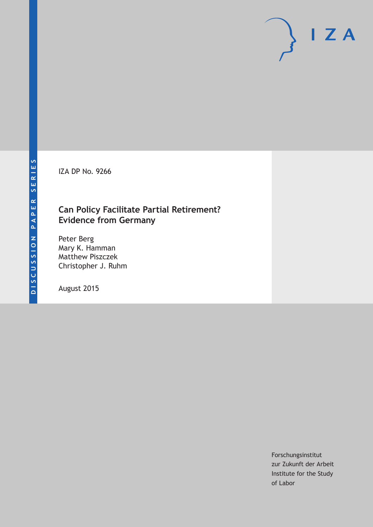IZA DP No. 9266

### **Can Policy Facilitate Partial Retirement? Evidence from Germany**

Peter Berg Mary K. Hamman Matthew Piszczek Christopher J. Ruhm

August 2015

Forschungsinstitut zur Zukunft der Arbeit Institute for the Study of Labor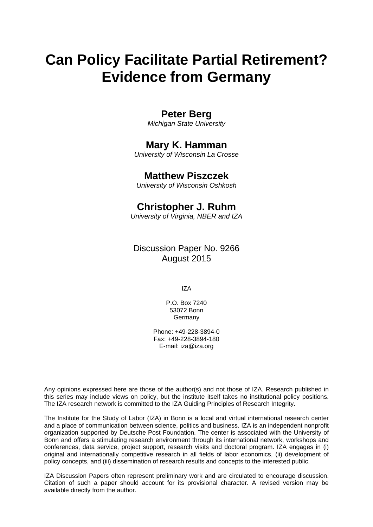# **Can Policy Facilitate Partial Retirement? Evidence from Germany**

### **Peter Berg**

*Michigan State University* 

### **Mary K. Hamman**

*University of Wisconsin La Crosse* 

### **Matthew Piszczek**

*University of Wisconsin Oshkosh*

### **Christopher J. Ruhm**

*University of Virginia, NBER and IZA* 

### Discussion Paper No. 9266 August 2015

IZA

P.O. Box 7240 53072 Bonn Germany

Phone: +49-228-3894-0 Fax: +49-228-3894-180 E-mail: iza@iza.org

Any opinions expressed here are those of the author(s) and not those of IZA. Research published in this series may include views on policy, but the institute itself takes no institutional policy positions. The IZA research network is committed to the IZA Guiding Principles of Research Integrity.

The Institute for the Study of Labor (IZA) in Bonn is a local and virtual international research center and a place of communication between science, politics and business. IZA is an independent nonprofit organization supported by Deutsche Post Foundation. The center is associated with the University of Bonn and offers a stimulating research environment through its international network, workshops and conferences, data service, project support, research visits and doctoral program. IZA engages in (i) original and internationally competitive research in all fields of labor economics, (ii) development of policy concepts, and (iii) dissemination of research results and concepts to the interested public.

IZA Discussion Papers often represent preliminary work and are circulated to encourage discussion. Citation of such a paper should account for its provisional character. A revised version may be available directly from the author.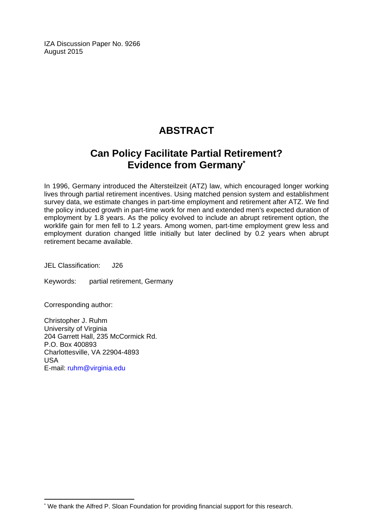IZA Discussion Paper No. 9266 August 2015

# **ABSTRACT**

## **Can Policy Facilitate Partial Retirement? Evidence from Germany\***

In 1996, Germany introduced the Altersteilzeit (ATZ) law, which encouraged longer working lives through partial retirement incentives. Using matched pension system and establishment survey data, we estimate changes in part-time employment and retirement after ATZ. We find the policy induced growth in part-time work for men and extended men's expected duration of employment by 1.8 years. As the policy evolved to include an abrupt retirement option, the worklife gain for men fell to 1.2 years. Among women, part-time employment grew less and employment duration changed little initially but later declined by 0.2 years when abrupt retirement became available.

JEL Classification: J26

Keywords: partial retirement, Germany

Corresponding author:

 $\overline{a}$ 

Christopher J. Ruhm University of Virginia 204 Garrett Hall, 235 McCormick Rd. P.O. Box 400893 Charlottesville, VA 22904-4893 USA E-mail: ruhm@virginia.edu

<sup>\*</sup> We thank the Alfred P. Sloan Foundation for providing financial support for this research.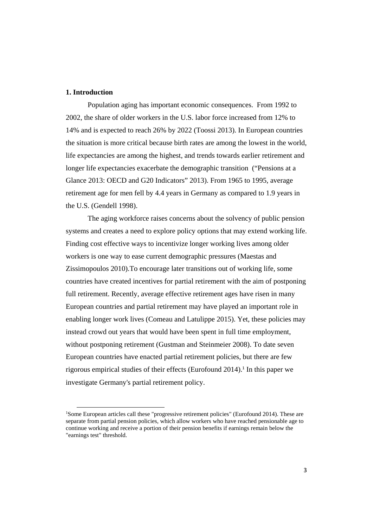#### **1. Introduction**

Population aging has important economic consequences. From 1992 to 2002, the share of older workers in the U.S. labor force increased from 12% to 14% and is expected to reach 26% by 2022 (Toossi 2013). In European countries the situation is more critical because birth rates are among the lowest in the world, life expectancies are among the highest, and trends towards earlier retirement and longer life expectancies exacerbate the demographic transition ("Pensions at a Glance 2013: OECD and G20 Indicators" 2013). From 1965 to 1995, average retirement age for men fell by 4.4 years in Germany as compared to 1.9 years in the U.S. (Gendell 1998).

The aging workforce raises concerns about the solvency of public pension systems and creates a need to explore policy options that may extend working life. Finding cost effective ways to incentivize longer working lives among older workers is one way to ease current demographic pressures (Maestas and Zissimopoulos 2010).To encourage later transitions out of working life, some countries have created incentives for partial retirement with the aim of postponing full retirement. Recently, average effective retirement ages have risen in many European countries and partial retirement may have played an important role in enabling longer work lives (Comeau and Latulippe 2015). Yet, these policies may instead crowd out years that would have been spent in full time employment, without postponing retirement (Gustman and Steinmeier 2008). To date seven European countries have enacted partial retirement policies, but there are few rigorous empirical studies of their effects (Eurofound  $2014$ ).<sup>1</sup> In this paper we investigate Germany's partial retirement policy.

<sup>&</sup>lt;sup>1</sup>Some European articles call these "progressive retirement policies" (Eurofound 2014). These are separate from partial pension policies, which allow workers who have reached pensionable age to continue working and receive a portion of their pension benefits if earnings remain below the "earnings test" threshold.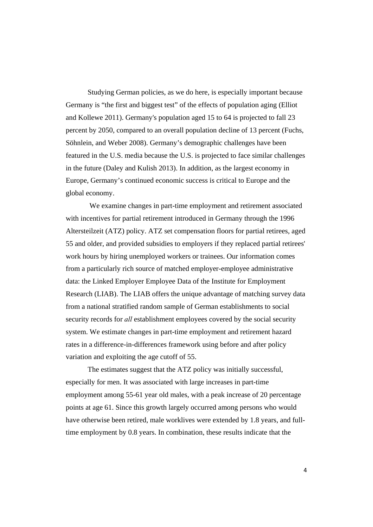Studying German policies, as we do here, is especially important because Germany is "the first and biggest test" of the effects of population aging (Elliot and Kollewe 2011). Germany's population aged 15 to 64 is projected to fall 23 percent by 2050, compared to an overall population decline of 13 percent (Fuchs, Söhnlein, and Weber 2008). Germany's demographic challenges have been featured in the U.S. media because the U.S. is projected to face similar challenges in the future (Daley and Kulish 2013). In addition, as the largest economy in Europe, Germany's continued economic success is critical to Europe and the global economy.

 We examine changes in part-time employment and retirement associated with incentives for partial retirement introduced in Germany through the 1996 Altersteilzeit (ATZ) policy. ATZ set compensation floors for partial retirees, aged 55 and older, and provided subsidies to employers if they replaced partial retirees' work hours by hiring unemployed workers or trainees. Our information comes from a particularly rich source of matched employer-employee administrative data: the Linked Employer Employee Data of the Institute for Employment Research (LIAB). The LIAB offers the unique advantage of matching survey data from a national stratified random sample of German establishments to social security records for *all* establishment employees covered by the social security system. We estimate changes in part-time employment and retirement hazard rates in a difference-in-differences framework using before and after policy variation and exploiting the age cutoff of 55.

The estimates suggest that the ATZ policy was initially successful, especially for men. It was associated with large increases in part-time employment among 55-61 year old males, with a peak increase of 20 percentage points at age 61. Since this growth largely occurred among persons who would have otherwise been retired, male worklives were extended by 1.8 years, and fulltime employment by 0.8 years. In combination, these results indicate that the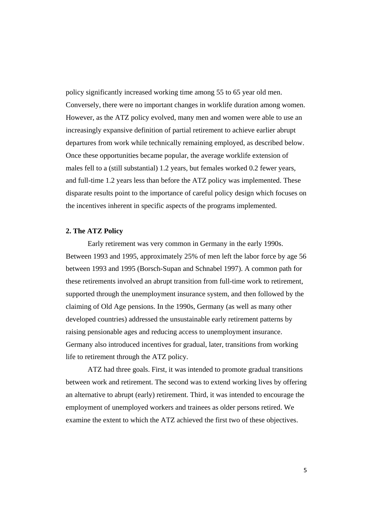policy significantly increased working time among 55 to 65 year old men. Conversely, there were no important changes in worklife duration among women. However, as the ATZ policy evolved, many men and women were able to use an increasingly expansive definition of partial retirement to achieve earlier abrupt departures from work while technically remaining employed, as described below. Once these opportunities became popular, the average worklife extension of males fell to a (still substantial) 1.2 years, but females worked 0.2 fewer years, and full-time 1.2 years less than before the ATZ policy was implemented. These disparate results point to the importance of careful policy design which focuses on the incentives inherent in specific aspects of the programs implemented.

#### **2. The ATZ Policy**

Early retirement was very common in Germany in the early 1990s. Between 1993 and 1995, approximately 25% of men left the labor force by age 56 between 1993 and 1995 (Borsch-Supan and Schnabel 1997). A common path for these retirements involved an abrupt transition from full-time work to retirement, supported through the unemployment insurance system, and then followed by the claiming of Old Age pensions. In the 1990s, Germany (as well as many other developed countries) addressed the unsustainable early retirement patterns by raising pensionable ages and reducing access to unemployment insurance. Germany also introduced incentives for gradual, later, transitions from working life to retirement through the ATZ policy.

ATZ had three goals. First, it was intended to promote gradual transitions between work and retirement. The second was to extend working lives by offering an alternative to abrupt (early) retirement. Third, it was intended to encourage the employment of unemployed workers and trainees as older persons retired. We examine the extent to which the ATZ achieved the first two of these objectives.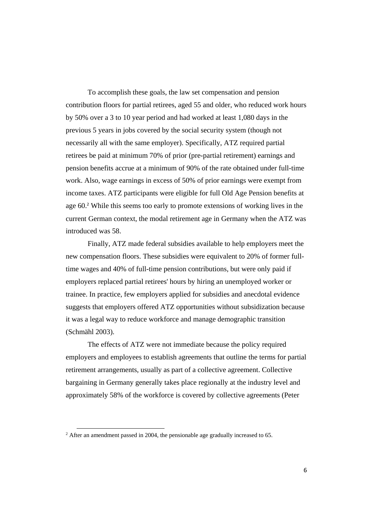To accomplish these goals, the law set compensation and pension contribution floors for partial retirees, aged 55 and older, who reduced work hours by 50% over a 3 to 10 year period and had worked at least 1,080 days in the previous 5 years in jobs covered by the social security system (though not necessarily all with the same employer). Specifically, ATZ required partial retirees be paid at minimum 70% of prior (pre-partial retirement) earnings and pension benefits accrue at a minimum of 90% of the rate obtained under full-time work. Also, wage earnings in excess of 50% of prior earnings were exempt from income taxes. ATZ participants were eligible for full Old Age Pension benefits at age 60.<sup>2</sup> While this seems too early to promote extensions of working lives in the current German context, the modal retirement age in Germany when the ATZ was introduced was 58.

Finally, ATZ made federal subsidies available to help employers meet the new compensation floors. These subsidies were equivalent to 20% of former fulltime wages and 40% of full-time pension contributions, but were only paid if employers replaced partial retirees' hours by hiring an unemployed worker or trainee. In practice, few employers applied for subsidies and anecdotal evidence suggests that employers offered ATZ opportunities without subsidization because it was a legal way to reduce workforce and manage demographic transition (Schmähl 2003).

The effects of ATZ were not immediate because the policy required employers and employees to establish agreements that outline the terms for partial retirement arrangements, usually as part of a collective agreement. Collective bargaining in Germany generally takes place regionally at the industry level and approximately 58% of the workforce is covered by collective agreements (Peter

 $2$  After an amendment passed in 2004, the pensionable age gradually increased to 65.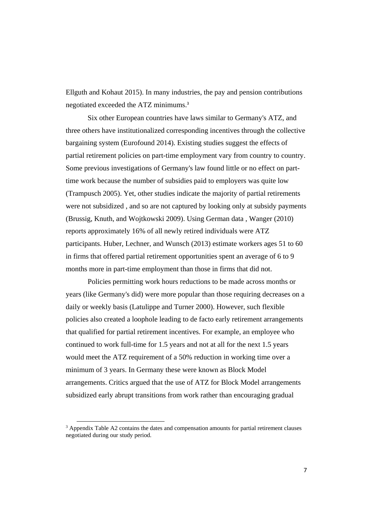Ellguth and Kohaut 2015). In many industries, the pay and pension contributions negotiated exceeded the ATZ minimums.<sup>3</sup>

Six other European countries have laws similar to Germany's ATZ, and three others have institutionalized corresponding incentives through the collective bargaining system (Eurofound 2014). Existing studies suggest the effects of partial retirement policies on part-time employment vary from country to country. Some previous investigations of Germany's law found little or no effect on parttime work because the number of subsidies paid to employers was quite low (Trampusch 2005). Yet, other studies indicate the majority of partial retirements were not subsidized , and so are not captured by looking only at subsidy payments (Brussig, Knuth, and Wojtkowski 2009). Using German data , Wanger (2010) reports approximately 16% of all newly retired individuals were ATZ participants. Huber, Lechner, and Wunsch (2013) estimate workers ages 51 to 60 in firms that offered partial retirement opportunities spent an average of 6 to 9 months more in part-time employment than those in firms that did not.

Policies permitting work hours reductions to be made across months or years (like Germany's did) were more popular than those requiring decreases on a daily or weekly basis (Latulippe and Turner 2000). However, such flexible policies also created a loophole leading to de facto early retirement arrangements that qualified for partial retirement incentives. For example, an employee who continued to work full-time for 1.5 years and not at all for the next 1.5 years would meet the ATZ requirement of a 50% reduction in working time over a minimum of 3 years. In Germany these were known as Block Model arrangements. Critics argued that the use of ATZ for Block Model arrangements subsidized early abrupt transitions from work rather than encouraging gradual

<sup>&</sup>lt;sup>3</sup> Appendix Table A2 contains the dates and compensation amounts for partial retirement clauses negotiated during our study period.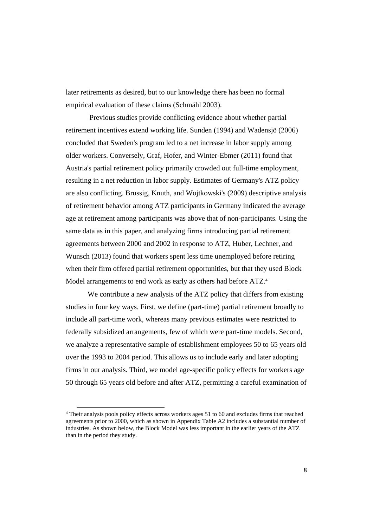later retirements as desired, but to our knowledge there has been no formal empirical evaluation of these claims (Schmähl 2003).

 Previous studies provide conflicting evidence about whether partial retirement incentives extend working life. Sunden (1994) and Wadensjö (2006) concluded that Sweden's program led to a net increase in labor supply among older workers. Conversely, Graf, Hofer, and Winter-Ebmer (2011) found that Austria's partial retirement policy primarily crowded out full-time employment, resulting in a net reduction in labor supply. Estimates of Germany's ATZ policy are also conflicting. Brussig, Knuth, and Wojtkowski's (2009) descriptive analysis of retirement behavior among ATZ participants in Germany indicated the average age at retirement among participants was above that of non-participants. Using the same data as in this paper, and analyzing firms introducing partial retirement agreements between 2000 and 2002 in response to ATZ, Huber, Lechner, and Wunsch (2013) found that workers spent less time unemployed before retiring when their firm offered partial retirement opportunities, but that they used Block Model arrangements to end work as early as others had before ATZ.<sup>4</sup>

We contribute a new analysis of the ATZ policy that differs from existing studies in four key ways. First, we define (part-time) partial retirement broadly to include all part-time work, whereas many previous estimates were restricted to federally subsidized arrangements, few of which were part-time models. Second, we analyze a representative sample of establishment employees 50 to 65 years old over the 1993 to 2004 period. This allows us to include early and later adopting firms in our analysis. Third, we model age-specific policy effects for workers age 50 through 65 years old before and after ATZ, permitting a careful examination of

<sup>4</sup> Their analysis pools policy effects across workers ages 51 to 60 and excludes firms that reached agreements prior to 2000, which as shown in Appendix Table A2 includes a substantial number of industries. As shown below, the Block Model was less important in the earlier years of the ATZ than in the period they study.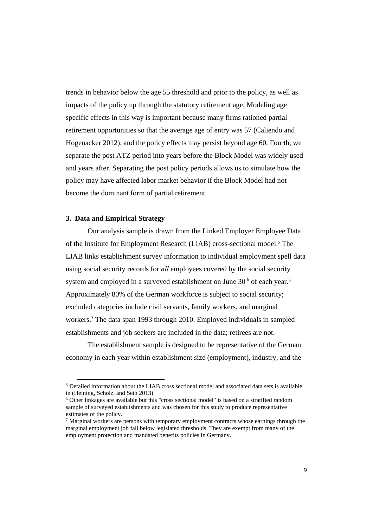trends in behavior below the age 55 threshold and prior to the policy, as well as impacts of the policy up through the statutory retirement age. Modeling age specific effects in this way is important because many firms rationed partial retirement opportunities so that the average age of entry was 57 (Caliendo and Hogenacker 2012), and the policy effects may persist beyond age 60. Fourth, we separate the post ATZ period into years before the Block Model was widely used and years after. Separating the post policy periods allows us to simulate how the policy may have affected labor market behavior if the Block Model had not become the dominant form of partial retirement.

#### **3. Data and Empirical Strategy**

Our analysis sample is drawn from the Linked Employer Employee Data of the Institute for Employment Research (LIAB) cross-sectional model.<sup>5</sup> The LIAB links establishment survey information to individual employment spell data using social security records for *all* employees covered by the social security system and employed in a surveyed establishment on June  $30<sup>th</sup>$  of each year.<sup>6</sup> Approximately 80% of the German workforce is subject to social security; excluded categories include civil servants, family workers, and marginal workers.<sup>7</sup> The data span 1993 through 2010. Employed individuals in sampled establishments and job seekers are included in the data; retirees are not.

The establishment sample is designed to be representative of the German economy in each year within establishment size (employment), industry, and the

<sup>&</sup>lt;sup>5</sup> Detailed information about the LIAB cross sectional model and associated data sets is available in (Heining, Scholz, and Seth 2013).

<sup>6</sup> Other linkages are available but this "cross sectional model" is based on a stratified random sample of surveyed establishments and was chosen for this study to produce representative estimates of the policy.

 $<sup>7</sup>$  Marginal workers are persons with temporary employment contracts whose earnings through the</sup> marginal employment job fall below legislated thresholds. They are exempt from many of the employment protection and mandated benefits policies in Germany.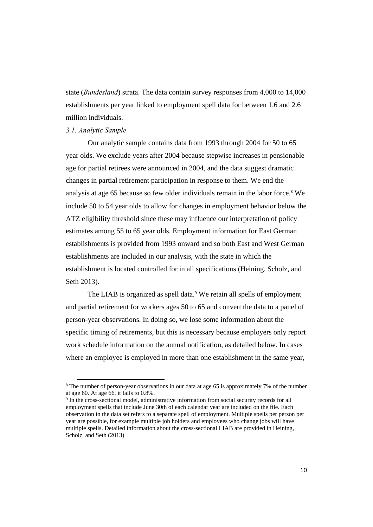state (*Bundesland*) strata. The data contain survey responses from 4,000 to 14,000 establishments per year linked to employment spell data for between 1.6 and 2.6 million individuals.

#### *3.1. Analytic Sample*

Our analytic sample contains data from 1993 through 2004 for 50 to 65 year olds. We exclude years after 2004 because stepwise increases in pensionable age for partial retirees were announced in 2004, and the data suggest dramatic changes in partial retirement participation in response to them. We end the analysis at age 65 because so few older individuals remain in the labor force.<sup>8</sup> We include 50 to 54 year olds to allow for changes in employment behavior below the ATZ eligibility threshold since these may influence our interpretation of policy estimates among 55 to 65 year olds. Employment information for East German establishments is provided from 1993 onward and so both East and West German establishments are included in our analysis, with the state in which the establishment is located controlled for in all specifications (Heining, Scholz, and Seth 2013).

The LIAB is organized as spell data.<sup>9</sup> We retain all spells of employment and partial retirement for workers ages 50 to 65 and convert the data to a panel of person-year observations. In doing so, we lose some information about the specific timing of retirements, but this is necessary because employers only report work schedule information on the annual notification, as detailed below. In cases where an employee is employed in more than one establishment in the same year,

<sup>&</sup>lt;sup>8</sup> The number of person-year observations in our data at age 65 is approximately 7% of the number at age 60. At age 66, it falls to 0.8%.

<sup>&</sup>lt;sup>9</sup> In the cross-sectional model, administrative information from social security records for all employment spells that include June 30th of each calendar year are included on the file. Each observation in the data set refers to a separate spell of employment. Multiple spells per person per year are possible, for example multiple job holders and employees who change jobs will have multiple spells. Detailed information about the cross-sectional LIAB are provided in Heining, Scholz, and Seth (2013)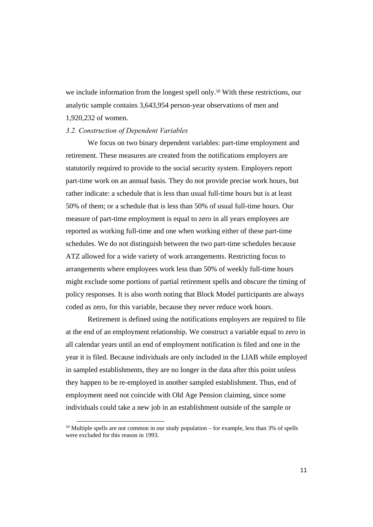we include information from the longest spell only.<sup>10</sup> With these restrictions, our analytic sample contains 3,643,954 person-year observations of men and 1,920,232 of women.

#### *3.2. Construction of Dependent Variables*

We focus on two binary dependent variables: part-time employment and retirement. These measures are created from the notifications employers are statutorily required to provide to the social security system. Employers report part-time work on an annual basis. They do not provide precise work hours, but rather indicate: a schedule that is less than usual full-time hours but is at least 50% of them; or a schedule that is less than 50% of usual full-time hours. Our measure of part-time employment is equal to zero in all years employees are reported as working full-time and one when working either of these part-time schedules. We do not distinguish between the two part-time schedules because ATZ allowed for a wide variety of work arrangements. Restricting focus to arrangements where employees work less than 50% of weekly full-time hours might exclude some portions of partial retirement spells and obscure the timing of policy responses. It is also worth noting that Block Model participants are always coded as zero, for this variable, because they never reduce work hours.

Retirement is defined using the notifications employers are required to file at the end of an employment relationship. We construct a variable equal to zero in all calendar years until an end of employment notification is filed and one in the year it is filed. Because individuals are only included in the LIAB while employed in sampled establishments, they are no longer in the data after this point unless they happen to be re-employed in another sampled establishment. Thus, end of employment need not coincide with Old Age Pension claiming, since some individuals could take a new job in an establishment outside of the sample or

 $10$  Multiple spells are not common in our study population – for example, less than 3% of spells were excluded for this reason in 1993.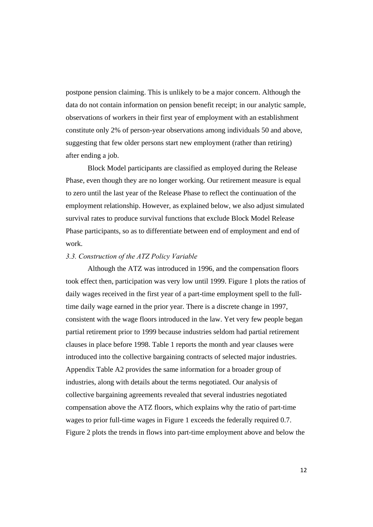postpone pension claiming. This is unlikely to be a major concern. Although the data do not contain information on pension benefit receipt; in our analytic sample, observations of workers in their first year of employment with an establishment constitute only 2% of person-year observations among individuals 50 and above, suggesting that few older persons start new employment (rather than retiring) after ending a job.

Block Model participants are classified as employed during the Release Phase, even though they are no longer working. Our retirement measure is equal to zero until the last year of the Release Phase to reflect the continuation of the employment relationship. However, as explained below, we also adjust simulated survival rates to produce survival functions that exclude Block Model Release Phase participants, so as to differentiate between end of employment and end of work.

#### *3.3. Construction of the ATZ Policy Variable*

Although the ATZ was introduced in 1996, and the compensation floors took effect then, participation was very low until 1999. Figure 1 plots the ratios of daily wages received in the first year of a part-time employment spell to the fulltime daily wage earned in the prior year. There is a discrete change in 1997, consistent with the wage floors introduced in the law. Yet very few people began partial retirement prior to 1999 because industries seldom had partial retirement clauses in place before 1998. Table 1 reports the month and year clauses were introduced into the collective bargaining contracts of selected major industries. Appendix Table A2 provides the same information for a broader group of industries, along with details about the terms negotiated. Our analysis of collective bargaining agreements revealed that several industries negotiated compensation above the ATZ floors, which explains why the ratio of part-time wages to prior full-time wages in Figure 1 exceeds the federally required 0.7. Figure 2 plots the trends in flows into part-time employment above and below the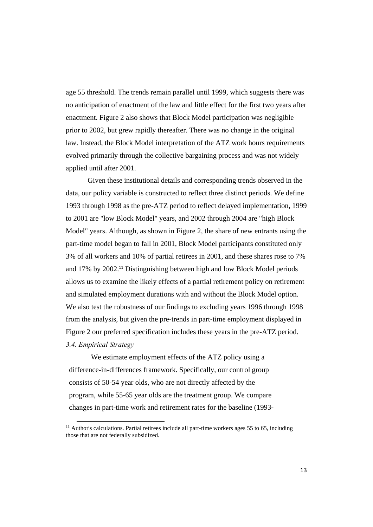age 55 threshold. The trends remain parallel until 1999, which suggests there was no anticipation of enactment of the law and little effect for the first two years after enactment. Figure 2 also shows that Block Model participation was negligible prior to 2002, but grew rapidly thereafter. There was no change in the original law. Instead, the Block Model interpretation of the ATZ work hours requirements evolved primarily through the collective bargaining process and was not widely applied until after 2001.

Given these institutional details and corresponding trends observed in the data, our policy variable is constructed to reflect three distinct periods. We define 1993 through 1998 as the pre-ATZ period to reflect delayed implementation, 1999 to 2001 are "low Block Model" years, and 2002 through 2004 are "high Block Model" years. Although, as shown in Figure 2, the share of new entrants using the part-time model began to fall in 2001, Block Model participants constituted only 3% of all workers and 10% of partial retirees in 2001, and these shares rose to 7% and 17% by 2002.11 Distinguishing between high and low Block Model periods allows us to examine the likely effects of a partial retirement policy on retirement and simulated employment durations with and without the Block Model option. We also test the robustness of our findings to excluding years 1996 through 1998 from the analysis, but given the pre-trends in part-time employment displayed in Figure 2 our preferred specification includes these years in the pre-ATZ period. *3.4. Empirical Strategy* 

We estimate employment effects of the ATZ policy using a difference-in-differences framework. Specifically, our control group consists of 50-54 year olds, who are not directly affected by the program, while 55-65 year olds are the treatment group. We compare changes in part-time work and retirement rates for the baseline (1993-

 $11$  Author's calculations. Partial retirees include all part-time workers ages 55 to 65, including those that are not federally subsidized.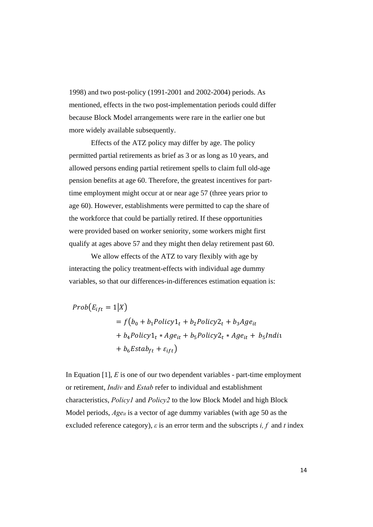1998) and two post-policy (1991-2001 and 2002-2004) periods. As mentioned, effects in the two post-implementation periods could differ because Block Model arrangements were rare in the earlier one but more widely available subsequently.

Effects of the ATZ policy may differ by age. The policy permitted partial retirements as brief as 3 or as long as 10 years, and allowed persons ending partial retirement spells to claim full old-age pension benefits at age 60. Therefore, the greatest incentives for parttime employment might occur at or near age 57 (three years prior to age 60). However, establishments were permitted to cap the share of the workforce that could be partially retired. If these opportunities were provided based on worker seniority, some workers might first qualify at ages above 57 and they might then delay retirement past 60.

We allow effects of the ATZ to vary flexibly with age by interacting the policy treatment-effects with individual age dummy variables, so that our differences-in-differences estimation equation is:

$$
Prob(E_{ift} = 1|X)
$$
  
=  $f(b_0 + b_1Policy1_t + b_2 Policy2_t + b_3Age_{it}$   
+  $b_4 Policy1_t * Age_{it} + b_5 Policy2_t * Age_{it} + b_5Indit$   
+  $b_6Estab_{ft} + \varepsilon_{ift}$ )

In Equation [1], *E* is one of our two dependent variables - part-time employment or retirement, *Indiv* and *Estab* refer to individual and establishment characteristics, *Policy1* and *Policy2* to the low Block Model and high Block Model periods, *Ageit* is a vector of age dummy variables (with age 50 as the excluded reference category), *ε* is an error term and the subscripts *i, f* and *t* index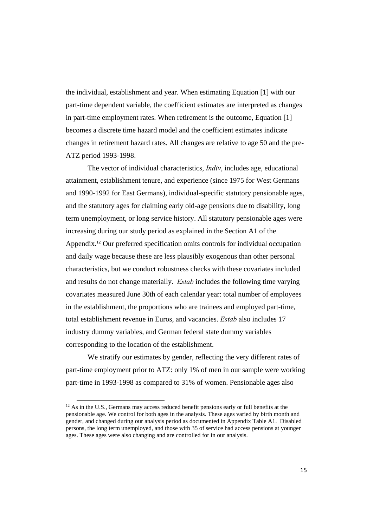the individual, establishment and year. When estimating Equation [1] with our part-time dependent variable, the coefficient estimates are interpreted as changes in part-time employment rates. When retirement is the outcome, Equation [1] becomes a discrete time hazard model and the coefficient estimates indicate changes in retirement hazard rates. All changes are relative to age 50 and the pre-ATZ period 1993-1998.

The vector of individual characteristics, *Indiv*, includes age, educational attainment, establishment tenure, and experience (since 1975 for West Germans and 1990-1992 for East Germans), individual-specific statutory pensionable ages, and the statutory ages for claiming early old-age pensions due to disability, long term unemployment, or long service history. All statutory pensionable ages were increasing during our study period as explained in the Section A1 of the Appendix.12 Our preferred specification omits controls for individual occupation and daily wage because these are less plausibly exogenous than other personal characteristics, but we conduct robustness checks with these covariates included and results do not change materially. *Estab* includes the following time varying covariates measured June 30th of each calendar year: total number of employees in the establishment, the proportions who are trainees and employed part-time, total establishment revenue in Euros, and vacancies. *Estab* also includes 17 industry dummy variables, and German federal state dummy variables corresponding to the location of the establishment.

We stratify our estimates by gender, reflecting the very different rates of part-time employment prior to ATZ: only 1% of men in our sample were working part-time in 1993-1998 as compared to 31% of women. Pensionable ages also

 $12$  As in the U.S., Germans may access reduced benefit pensions early or full benefits at the pensionable age. We control for both ages in the analysis. These ages varied by birth month and gender, and changed during our analysis period as documented in Appendix Table A1. Disabled persons, the long term unemployed, and those with 35 of service had access pensions at younger ages. These ages were also changing and are controlled for in our analysis.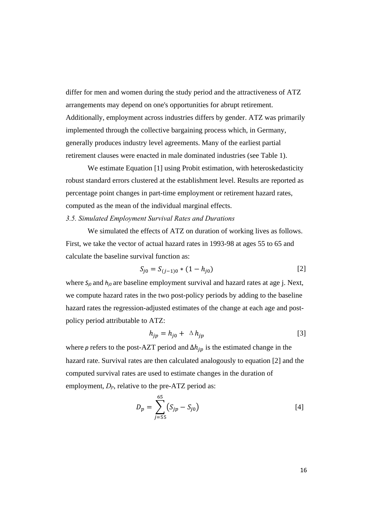differ for men and women during the study period and the attractiveness of ATZ arrangements may depend on one's opportunities for abrupt retirement. Additionally, employment across industries differs by gender. ATZ was primarily implemented through the collective bargaining process which, in Germany, generally produces industry level agreements. Many of the earliest partial retirement clauses were enacted in male dominated industries (see Table 1).

We estimate Equation [1] using Probit estimation, with heteroskedasticity robust standard errors clustered at the establishment level. Results are reported as percentage point changes in part-time employment or retirement hazard rates, computed as the mean of the individual marginal effects.

#### *3.5. Simulated Employment Survival Rates and Durations*

We simulated the effects of ATZ on duration of working lives as follows. First, we take the vector of actual hazard rates in 1993-98 at ages 55 to 65 and calculate the baseline survival function as:

$$
S_{j0} = S_{(j-1)0} * (1 - h_{j0})
$$
 [2]

where *S<sub>j0</sub>* and *h<sub>j0</sub>* are baseline employment survival and hazard rates at age j. Next, we compute hazard rates in the two post-policy periods by adding to the baseline hazard rates the regression-adjusted estimates of the change at each age and postpolicy period attributable to ATZ:

$$
h_{jp} = h_{j0} + \Delta h_{jp} \tag{3}
$$

where *p* refers to the post-AZT period and  $\Delta h_{in}$  is the estimated change in the hazard rate. Survival rates are then calculated analogously to equation [2] and the computed survival rates are used to estimate changes in the duration of employment, *Dp*, relative to the pre-ATZ period as:

$$
D_p = \sum_{j=55}^{65} (S_{jp} - S_{j0})
$$
 [4]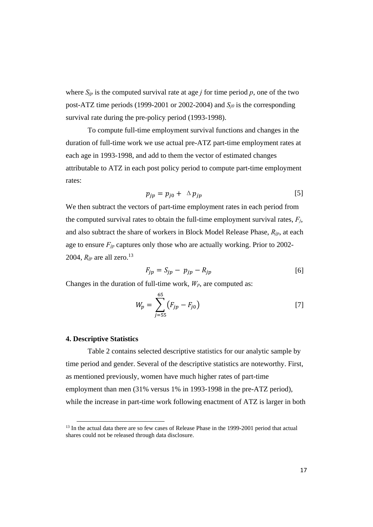where  $S_{jp}$  is the computed survival rate at age *j* for time period *p*, one of the two post-ATZ time periods (1999-2001 or 2002-2004) and *Sj0* is the corresponding survival rate during the pre-policy period (1993-1998).

 To compute full-time employment survival functions and changes in the duration of full-time work we use actual pre-ATZ part-time employment rates at each age in 1993-1998, and add to them the vector of estimated changes attributable to ATZ in each post policy period to compute part-time employment rates:

$$
p_{jp} = p_{j0} + \Delta p_{jp} \tag{5}
$$

We then subtract the vectors of part-time employment rates in each period from the computed survival rates to obtain the full-time employment survival rates, *Fj*, and also subtract the share of workers in Block Model Release Phase, *Rjp*, at each age to ensure *Fjp* captures only those who are actually working. Prior to 2002- 2004,  $R_{ip}$  are all zero.<sup>13</sup>

$$
F_{jp} = S_{jp} - p_{jp} - R_{jp} \tag{6}
$$

Changes in the duration of full-time work,  $W_p$ , are computed as:

$$
W_p = \sum_{j=55}^{65} (F_{jp} - F_{j0})
$$
 [7]

#### **4. Descriptive Statistics**

Table 2 contains selected descriptive statistics for our analytic sample by time period and gender. Several of the descriptive statistics are noteworthy. First, as mentioned previously, women have much higher rates of part-time employment than men (31% versus 1% in 1993-1998 in the pre-ATZ period), while the increase in part-time work following enactment of ATZ is larger in both

<sup>&</sup>lt;sup>13</sup> In the actual data there are so few cases of Release Phase in the 1999-2001 period that actual shares could not be released through data disclosure.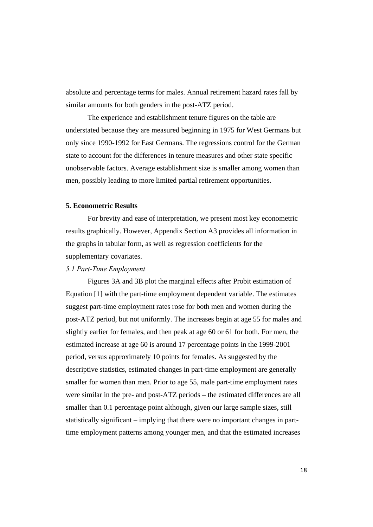absolute and percentage terms for males. Annual retirement hazard rates fall by similar amounts for both genders in the post-ATZ period.

The experience and establishment tenure figures on the table are understated because they are measured beginning in 1975 for West Germans but only since 1990-1992 for East Germans. The regressions control for the German state to account for the differences in tenure measures and other state specific unobservable factors. Average establishment size is smaller among women than men, possibly leading to more limited partial retirement opportunities.

#### **5. Econometric Results**

For brevity and ease of interpretation, we present most key econometric results graphically. However, Appendix Section A3 provides all information in the graphs in tabular form, as well as regression coefficients for the supplementary covariates.

#### *5.1 Part-Time Employment*

Figures 3A and 3B plot the marginal effects after Probit estimation of Equation [1] with the part-time employment dependent variable. The estimates suggest part-time employment rates rose for both men and women during the post-ATZ period, but not uniformly. The increases begin at age 55 for males and slightly earlier for females, and then peak at age 60 or 61 for both. For men, the estimated increase at age 60 is around 17 percentage points in the 1999-2001 period, versus approximately 10 points for females. As suggested by the descriptive statistics, estimated changes in part-time employment are generally smaller for women than men. Prior to age 55, male part-time employment rates were similar in the pre- and post-ATZ periods – the estimated differences are all smaller than 0.1 percentage point although, given our large sample sizes, still statistically significant – implying that there were no important changes in parttime employment patterns among younger men, and that the estimated increases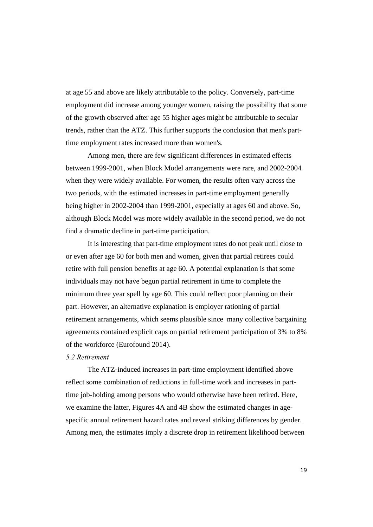at age 55 and above are likely attributable to the policy. Conversely, part-time employment did increase among younger women, raising the possibility that some of the growth observed after age 55 higher ages might be attributable to secular trends, rather than the ATZ. This further supports the conclusion that men's parttime employment rates increased more than women's.

Among men, there are few significant differences in estimated effects between 1999-2001, when Block Model arrangements were rare, and 2002-2004 when they were widely available. For women, the results often vary across the two periods, with the estimated increases in part-time employment generally being higher in 2002-2004 than 1999-2001, especially at ages 60 and above. So, although Block Model was more widely available in the second period, we do not find a dramatic decline in part-time participation.

It is interesting that part-time employment rates do not peak until close to or even after age 60 for both men and women, given that partial retirees could retire with full pension benefits at age 60. A potential explanation is that some individuals may not have begun partial retirement in time to complete the minimum three year spell by age 60. This could reflect poor planning on their part. However, an alternative explanation is employer rationing of partial retirement arrangements, which seems plausible since many collective bargaining agreements contained explicit caps on partial retirement participation of 3% to 8% of the workforce (Eurofound 2014).

#### *5.2 Retirement*

The ATZ-induced increases in part-time employment identified above reflect some combination of reductions in full-time work and increases in parttime job-holding among persons who would otherwise have been retired. Here, we examine the latter, Figures 4A and 4B show the estimated changes in agespecific annual retirement hazard rates and reveal striking differences by gender. Among men, the estimates imply a discrete drop in retirement likelihood between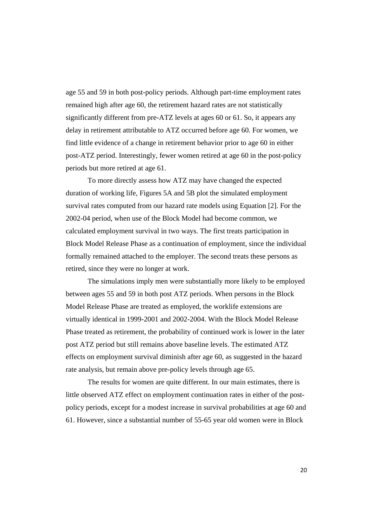age 55 and 59 in both post-policy periods. Although part-time employment rates remained high after age 60, the retirement hazard rates are not statistically significantly different from pre-ATZ levels at ages 60 or 61. So, it appears any delay in retirement attributable to ATZ occurred before age 60. For women, we find little evidence of a change in retirement behavior prior to age 60 in either post-ATZ period. Interestingly, fewer women retired at age 60 in the post-policy periods but more retired at age 61.

To more directly assess how ATZ may have changed the expected duration of working life, Figures 5A and 5B plot the simulated employment survival rates computed from our hazard rate models using Equation [2]. For the 2002-04 period, when use of the Block Model had become common, we calculated employment survival in two ways. The first treats participation in Block Model Release Phase as a continuation of employment, since the individual formally remained attached to the employer. The second treats these persons as retired, since they were no longer at work.

The simulations imply men were substantially more likely to be employed between ages 55 and 59 in both post ATZ periods. When persons in the Block Model Release Phase are treated as employed, the worklife extensions are virtually identical in 1999-2001 and 2002-2004. With the Block Model Release Phase treated as retirement, the probability of continued work is lower in the later post ATZ period but still remains above baseline levels. The estimated ATZ effects on employment survival diminish after age 60, as suggested in the hazard rate analysis, but remain above pre-policy levels through age 65.

The results for women are quite different. In our main estimates, there is little observed ATZ effect on employment continuation rates in either of the postpolicy periods, except for a modest increase in survival probabilities at age 60 and 61. However, since a substantial number of 55-65 year old women were in Block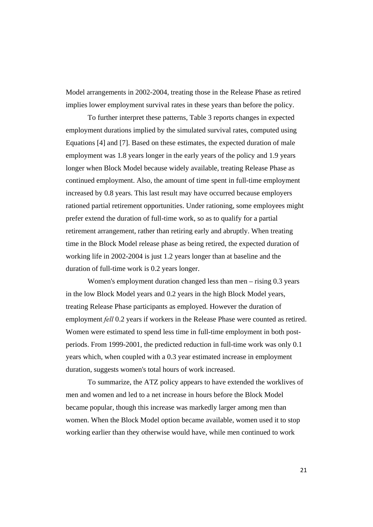Model arrangements in 2002-2004, treating those in the Release Phase as retired implies lower employment survival rates in these years than before the policy.

To further interpret these patterns, Table 3 reports changes in expected employment durations implied by the simulated survival rates, computed using Equations [4] and [7]. Based on these estimates, the expected duration of male employment was 1.8 years longer in the early years of the policy and 1.9 years longer when Block Model because widely available, treating Release Phase as continued employment. Also, the amount of time spent in full-time employment increased by 0.8 years. This last result may have occurred because employers rationed partial retirement opportunities. Under rationing, some employees might prefer extend the duration of full-time work, so as to qualify for a partial retirement arrangement, rather than retiring early and abruptly. When treating time in the Block Model release phase as being retired, the expected duration of working life in 2002-2004 is just 1.2 years longer than at baseline and the duration of full-time work is 0.2 years longer.

Women's employment duration changed less than men – rising 0.3 years in the low Block Model years and 0.2 years in the high Block Model years, treating Release Phase participants as employed. However the duration of employment *fell* 0.2 years if workers in the Release Phase were counted as retired. Women were estimated to spend less time in full-time employment in both postperiods. From 1999-2001, the predicted reduction in full-time work was only 0.1 years which, when coupled with a 0.3 year estimated increase in employment duration, suggests women's total hours of work increased.

To summarize, the ATZ policy appears to have extended the worklives of men and women and led to a net increase in hours before the Block Model became popular, though this increase was markedly larger among men than women. When the Block Model option became available, women used it to stop working earlier than they otherwise would have, while men continued to work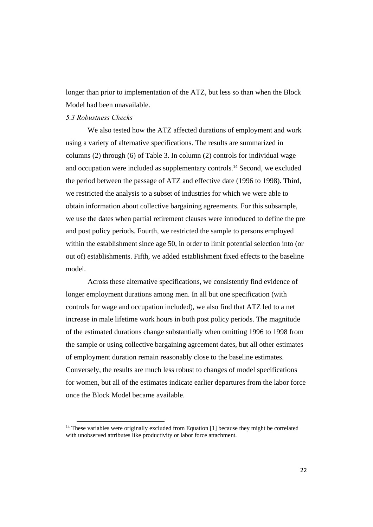longer than prior to implementation of the ATZ, but less so than when the Block Model had been unavailable.

#### *5.3 Robustness Checks*

 We also tested how the ATZ affected durations of employment and work using a variety of alternative specifications. The results are summarized in columns (2) through (6) of Table 3. In column (2) controls for individual wage and occupation were included as supplementary controls.14 Second, we excluded the period between the passage of ATZ and effective date (1996 to 1998). Third, we restricted the analysis to a subset of industries for which we were able to obtain information about collective bargaining agreements. For this subsample, we use the dates when partial retirement clauses were introduced to define the pre and post policy periods. Fourth, we restricted the sample to persons employed within the establishment since age 50, in order to limit potential selection into (or out of) establishments. Fifth, we added establishment fixed effects to the baseline model.

Across these alternative specifications, we consistently find evidence of longer employment durations among men. In all but one specification (with controls for wage and occupation included), we also find that ATZ led to a net increase in male lifetime work hours in both post policy periods. The magnitude of the estimated durations change substantially when omitting 1996 to 1998 from the sample or using collective bargaining agreement dates, but all other estimates of employment duration remain reasonably close to the baseline estimates. Conversely, the results are much less robust to changes of model specifications for women, but all of the estimates indicate earlier departures from the labor force once the Block Model became available.

<sup>&</sup>lt;sup>14</sup> These variables were originally excluded from Equation [1] because they might be correlated with unobserved attributes like productivity or labor force attachment.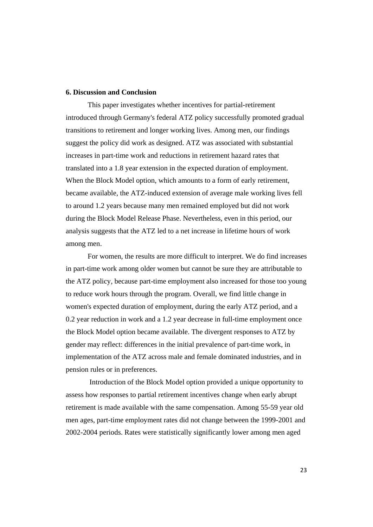#### **6. Discussion and Conclusion**

This paper investigates whether incentives for partial-retirement introduced through Germany's federal ATZ policy successfully promoted gradual transitions to retirement and longer working lives. Among men, our findings suggest the policy did work as designed. ATZ was associated with substantial increases in part-time work and reductions in retirement hazard rates that translated into a 1.8 year extension in the expected duration of employment. When the Block Model option, which amounts to a form of early retirement, became available, the ATZ-induced extension of average male working lives fell to around 1.2 years because many men remained employed but did not work during the Block Model Release Phase. Nevertheless, even in this period, our analysis suggests that the ATZ led to a net increase in lifetime hours of work among men.

For women, the results are more difficult to interpret. We do find increases in part-time work among older women but cannot be sure they are attributable to the ATZ policy, because part-time employment also increased for those too young to reduce work hours through the program. Overall, we find little change in women's expected duration of employment, during the early ATZ period, and a 0.2 year reduction in work and a 1.2 year decrease in full-time employment once the Block Model option became available. The divergent responses to ATZ by gender may reflect: differences in the initial prevalence of part-time work, in implementation of the ATZ across male and female dominated industries, and in pension rules or in preferences.

 Introduction of the Block Model option provided a unique opportunity to assess how responses to partial retirement incentives change when early abrupt retirement is made available with the same compensation. Among 55-59 year old men ages, part-time employment rates did not change between the 1999-2001 and 2002-2004 periods. Rates were statistically significantly lower among men aged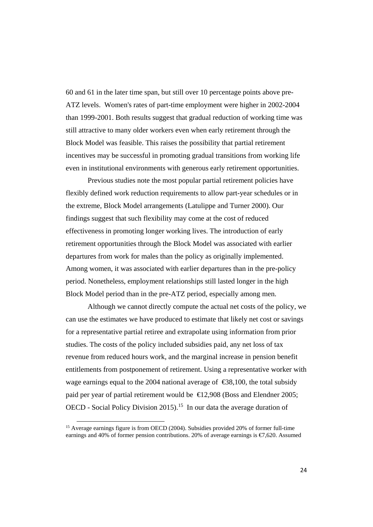60 and 61 in the later time span, but still over 10 percentage points above pre-ATZ levels. Women's rates of part-time employment were higher in 2002-2004 than 1999-2001. Both results suggest that gradual reduction of working time was still attractive to many older workers even when early retirement through the Block Model was feasible. This raises the possibility that partial retirement incentives may be successful in promoting gradual transitions from working life even in institutional environments with generous early retirement opportunities.

Previous studies note the most popular partial retirement policies have flexibly defined work reduction requirements to allow part-year schedules or in the extreme, Block Model arrangements (Latulippe and Turner 2000). Our findings suggest that such flexibility may come at the cost of reduced effectiveness in promoting longer working lives. The introduction of early retirement opportunities through the Block Model was associated with earlier departures from work for males than the policy as originally implemented. Among women, it was associated with earlier departures than in the pre-policy period. Nonetheless, employment relationships still lasted longer in the high Block Model period than in the pre-ATZ period, especially among men.

Although we cannot directly compute the actual net costs of the policy, we can use the estimates we have produced to estimate that likely net cost or savings for a representative partial retiree and extrapolate using information from prior studies. The costs of the policy included subsidies paid, any net loss of tax revenue from reduced hours work, and the marginal increase in pension benefit entitlements from postponement of retirement. Using a representative worker with wage earnings equal to the 2004 national average of  $\epsilon$ 38,100, the total subsidy paid per year of partial retirement would be  $\in$  12,908 (Boss and Elendner 2005; OECD - Social Policy Division 2015).<sup>15</sup> In our data the average duration of

<sup>&</sup>lt;sup>15</sup> Average earnings figure is from OECD (2004). Subsidies provided 20% of former full-time earnings and 40% of former pension contributions. 20% of average earnings is  $\epsilon/620$ . Assumed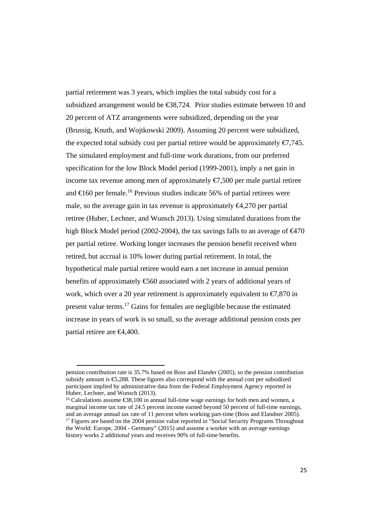partial retirement was 3 years, which implies the total subsidy cost for a subsidized arrangement would be  $\epsilon$ 88,724. Prior studies estimate between 10 and 20 percent of ATZ arrangements were subsidized, depending on the year (Brussig, Knuth, and Wojtkowski 2009). Assuming 20 percent were subsidized, the expected total subsidy cost per partial retiree would be approximately  $\epsilon$ 7,745. The simulated employment and full-time work durations, from our preferred specification for the low Block Model period (1999-2001), imply a net gain in income tax revenue among men of approximately  $\epsilon$ 7,500 per male partial retiree and  $\in$  160 per female.<sup>16</sup> Previous studies indicate 56% of partial retirees were male, so the average gain in tax revenue is approximately  $\epsilon 4,270$  per partial retiree (Huber, Lechner, and Wunsch 2013). Using simulated durations from the high Block Model period (2002-2004), the tax savings falls to an average of  $\epsilon$ 470 per partial retiree. Working longer increases the pension benefit received when retired, but accrual is 10% lower during partial retirement. In total, the hypothetical male partial retiree would earn a net increase in annual pension benefits of approximately €560 associated with 2 years of additional years of work, which over a 20 year retirement is approximately equivalent to  $\epsilon$ 7,870 in present value terms.<sup>17</sup> Gains for females are negligible because the estimated increase in years of work is so small, so the average additional pension costs per partial retiree are €4,400.

16 Calculations assume €38,100 in annual full-time wage earnings for both men and women, a marginal income tax rate of 24.5 percent income earned beyond 50 percent of full-time earnings, and an average annual tax rate of 11 percent when working part-time (Boss and Elandner 2005). <sup>17</sup> Figures are based on the 2004 pension value reported in "Social Security Programs Throughout

pension contribution rate is 35.7% based on Boss and Elander (2005), so the pension contribution subsidy amount is €5,288. These figures also correspond with the annual cost per subsidized participant implied by administrative data from the Federal Employment Agency reported in Huber, Lechner, and Wunsch (2013).

the World: Europe, 2004 - Germany" (2015) and assume a worker with an average earnings history works 2 additional years and receives 90% of full-time benefits.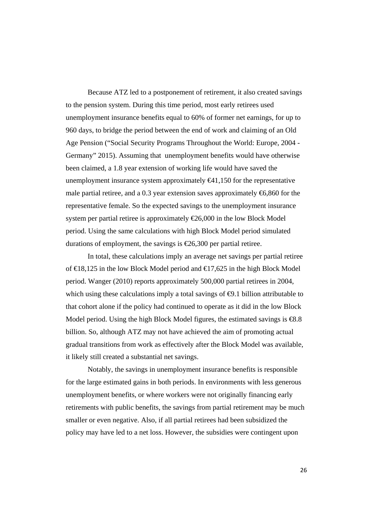Because ATZ led to a postponement of retirement, it also created savings to the pension system. During this time period, most early retirees used unemployment insurance benefits equal to 60% of former net earnings, for up to 960 days, to bridge the period between the end of work and claiming of an Old Age Pension ("Social Security Programs Throughout the World: Europe, 2004 - Germany" 2015). Assuming that unemployment benefits would have otherwise been claimed, a 1.8 year extension of working life would have saved the unemployment insurance system approximately  $\epsilon 41,150$  for the representative male partial retiree, and a 0.3 year extension saves approximately  $\epsilon$ 6,860 for the representative female. So the expected savings to the unemployment insurance system per partial retiree is approximately  $\epsilon \approx 6,000$  in the low Block Model period. Using the same calculations with high Block Model period simulated durations of employment, the savings is  $\epsilon$ 26,300 per partial retiree.

In total, these calculations imply an average net savings per partial retiree of  $\in$ 18,125 in the low Block Model period and  $\in$ 17,625 in the high Block Model period. Wanger (2010) reports approximately 500,000 partial retirees in 2004, which using these calculations imply a total savings of  $\bigoplus$ . billion attributable to that cohort alone if the policy had continued to operate as it did in the low Block Model period. Using the high Block Model figures, the estimated savings is  $\mathcal{R}8.8$ billion. So, although ATZ may not have achieved the aim of promoting actual gradual transitions from work as effectively after the Block Model was available, it likely still created a substantial net savings.

Notably, the savings in unemployment insurance benefits is responsible for the large estimated gains in both periods. In environments with less generous unemployment benefits, or where workers were not originally financing early retirements with public benefits, the savings from partial retirement may be much smaller or even negative. Also, if all partial retirees had been subsidized the policy may have led to a net loss. However, the subsidies were contingent upon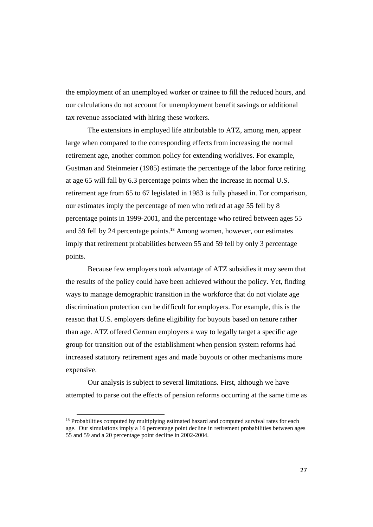the employment of an unemployed worker or trainee to fill the reduced hours, and our calculations do not account for unemployment benefit savings or additional tax revenue associated with hiring these workers.

The extensions in employed life attributable to ATZ, among men, appear large when compared to the corresponding effects from increasing the normal retirement age, another common policy for extending worklives. For example, Gustman and Steinmeier (1985) estimate the percentage of the labor force retiring at age 65 will fall by 6.3 percentage points when the increase in normal U.S. retirement age from 65 to 67 legislated in 1983 is fully phased in. For comparison, our estimates imply the percentage of men who retired at age 55 fell by 8 percentage points in 1999-2001, and the percentage who retired between ages 55 and 59 fell by 24 percentage points.<sup>18</sup> Among women, however, our estimates imply that retirement probabilities between 55 and 59 fell by only 3 percentage points.

Because few employers took advantage of ATZ subsidies it may seem that the results of the policy could have been achieved without the policy. Yet, finding ways to manage demographic transition in the workforce that do not violate age discrimination protection can be difficult for employers. For example, this is the reason that U.S. employers define eligibility for buyouts based on tenure rather than age. ATZ offered German employers a way to legally target a specific age group for transition out of the establishment when pension system reforms had increased statutory retirement ages and made buyouts or other mechanisms more expensive.

Our analysis is subject to several limitations. First, although we have attempted to parse out the effects of pension reforms occurring at the same time as

<sup>&</sup>lt;sup>18</sup> Probabilities computed by multiplying estimated hazard and computed survival rates for each age. Our simulations imply a 16 percentage point decline in retirement probabilities between ages 55 and 59 and a 20 percentage point decline in 2002-2004.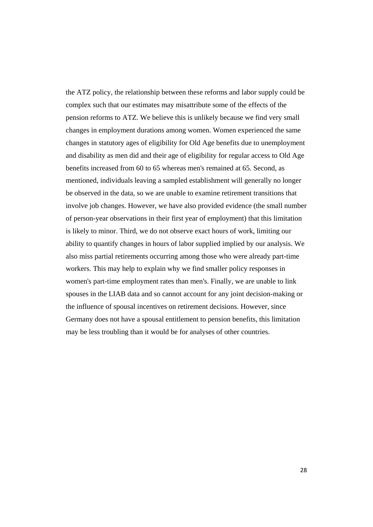the ATZ policy, the relationship between these reforms and labor supply could be complex such that our estimates may misattribute some of the effects of the pension reforms to ATZ. We believe this is unlikely because we find very small changes in employment durations among women. Women experienced the same changes in statutory ages of eligibility for Old Age benefits due to unemployment and disability as men did and their age of eligibility for regular access to Old Age benefits increased from 60 to 65 whereas men's remained at 65. Second, as mentioned, individuals leaving a sampled establishment will generally no longer be observed in the data, so we are unable to examine retirement transitions that involve job changes. However, we have also provided evidence (the small number of person-year observations in their first year of employment) that this limitation is likely to minor. Third, we do not observe exact hours of work, limiting our ability to quantify changes in hours of labor supplied implied by our analysis. We also miss partial retirements occurring among those who were already part-time workers. This may help to explain why we find smaller policy responses in women's part-time employment rates than men's. Finally, we are unable to link spouses in the LIAB data and so cannot account for any joint decision-making or the influence of spousal incentives on retirement decisions. However, since Germany does not have a spousal entitlement to pension benefits, this limitation may be less troubling than it would be for analyses of other countries.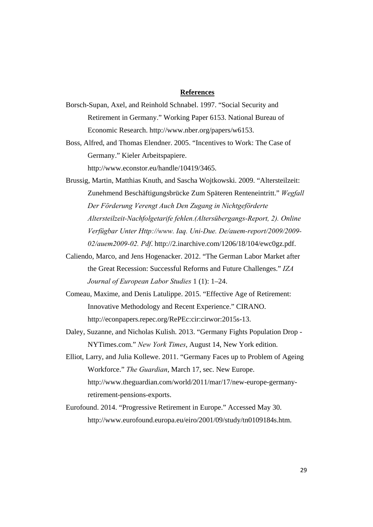#### **References**

- Borsch-Supan, Axel, and Reinhold Schnabel. 1997. "Social Security and Retirement in Germany." Working Paper 6153. National Bureau of Economic Research. http://www.nber.org/papers/w6153.
- Boss, Alfred, and Thomas Elendner. 2005. "Incentives to Work: The Case of Germany." Kieler Arbeitspapiere. http://www.econstor.eu/handle/10419/3465.

Brussig, Martin, Matthias Knuth, and Sascha Wojtkowski. 2009. "Altersteilzeit: Zunehmend Beschäftigungsbrücke Zum Späteren Renteneintritt." *Wegfall Der Förderung Verengt Auch Den Zugang in Nichtgeförderte Altersteilzeit-Nachfolgetarife fehlen.(Altersübergangs-Report, 2). Online Verfügbar Unter Http://www. Iaq. Uni-Due. De/auem-report/2009/2009- 02/auem2009-02. Pdf*. http://2.inarchive.com/1206/18/104/ewc0gz.pdf.

- Caliendo, Marco, and Jens Hogenacker. 2012. "The German Labor Market after the Great Recession: Successful Reforms and Future Challenges." *IZA Journal of European Labor Studies* 1 (1): 1–24.
- Comeau, Maxime, and Denis Latulippe. 2015. "Effective Age of Retirement: Innovative Methodology and Recent Experience." CIRANO. http://econpapers.repec.org/RePEc:cir:cirwor:2015s-13.
- Daley, Suzanne, and Nicholas Kulish. 2013. "Germany Fights Population Drop NYTimes.com." *New York Times*, August 14, New York edition.
- Elliot, Larry, and Julia Kollewe. 2011. "Germany Faces up to Problem of Ageing Workforce." *The Guardian*, March 17, sec. New Europe. http://www.theguardian.com/world/2011/mar/17/new-europe-germanyretirement-pensions-exports.
- Eurofound. 2014. "Progressive Retirement in Europe." Accessed May 30. http://www.eurofound.europa.eu/eiro/2001/09/study/tn0109184s.htm.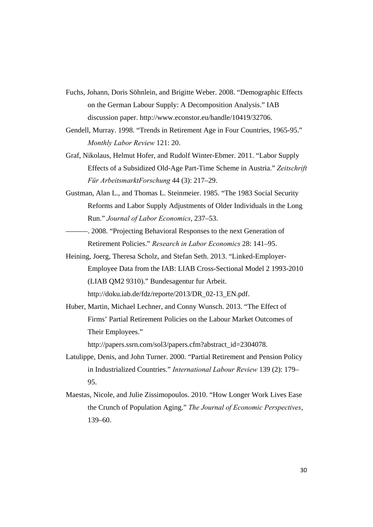- Fuchs, Johann, Doris Söhnlein, and Brigitte Weber. 2008. "Demographic Effects on the German Labour Supply: A Decomposition Analysis." IAB discussion paper. http://www.econstor.eu/handle/10419/32706.
- Gendell, Murray. 1998. "Trends in Retirement Age in Four Countries, 1965-95." *Monthly Labor Review* 121: 20.
- Graf, Nikolaus, Helmut Hofer, and Rudolf Winter-Ebmer. 2011. "Labor Supply Effects of a Subsidized Old-Age Part-Time Scheme in Austria." *Zeitschrift Für ArbeitsmarktForschung* 44 (3): 217–29.
- Gustman, Alan L., and Thomas L. Steinmeier. 1985. "The 1983 Social Security Reforms and Labor Supply Adjustments of Older Individuals in the Long Run." *Journal of Labor Economics*, 237–53.
- ———. 2008. "Projecting Behavioral Responses to the next Generation of Retirement Policies." *Research in Labor Economics* 28: 141–95.
- Heining, Joerg, Theresa Scholz, and Stefan Seth. 2013. "Linked-Employer-Employee Data from the IAB: LIAB Cross-Sectional Model 2 1993-2010 (LIAB QM2 9310)." Bundesagentur fur Arbeit. http://doku.iab.de/fdz/reporte/2013/DR\_02-13\_EN.pdf.
- Huber, Martin, Michael Lechner, and Conny Wunsch. 2013. "The Effect of Firms' Partial Retirement Policies on the Labour Market Outcomes of Their Employees."

http://papers.ssrn.com/sol3/papers.cfm?abstract\_id=2304078.

- Latulippe, Denis, and John Turner. 2000. "Partial Retirement and Pension Policy in Industrialized Countries." *International Labour Review* 139 (2): 179– 95.
- Maestas, Nicole, and Julie Zissimopoulos. 2010. "How Longer Work Lives Ease the Crunch of Population Aging." *The Journal of Economic Perspectives*, 139–60.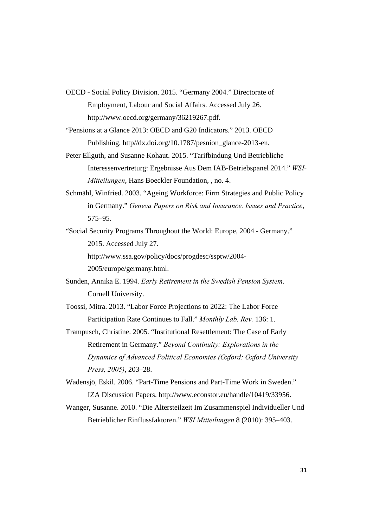- OECD Social Policy Division. 2015. "Germany 2004." Directorate of Employment, Labour and Social Affairs. Accessed July 26. http://www.oecd.org/germany/36219267.pdf.
- "Pensions at a Glance 2013: OECD and G20 Indicators." 2013. OECD Publishing. http//dx.doi.org/10.1787/pesnion\_glance-2013-en.
- Peter Ellguth, and Susanne Kohaut. 2015. "Tarifbindung Und Betriebliche Interessenvertreturg: Ergebnisse Aus Dem IAB-Betriebspanel 2014." *WSI-Mitteilungen*, Hans Boeckler Foundation, , no. 4.
- Schmähl, Winfried. 2003. "Ageing Workforce: Firm Strategies and Public Policy in Germany." *Geneva Papers on Risk and Insurance. Issues and Practice*, 575–95.
- "Social Security Programs Throughout the World: Europe, 2004 Germany." 2015. Accessed July 27. http://www.ssa.gov/policy/docs/progdesc/ssptw/2004- 2005/europe/germany.html.
- Sunden, Annika E. 1994. *Early Retirement in the Swedish Pension System*. Cornell University.
- Toossi, Mitra. 2013. "Labor Force Projections to 2022: The Labor Force Participation Rate Continues to Fall." *Monthly Lab. Rev.* 136: 1.
- Trampusch, Christine. 2005. "Institutional Resettlement: The Case of Early Retirement in Germany." *Beyond Continuity: Explorations in the Dynamics of Advanced Political Economies (Oxford: Oxford University Press, 2005)*, 203–28.
- Wadensjö, Eskil. 2006. "Part-Time Pensions and Part-Time Work in Sweden." IZA Discussion Papers. http://www.econstor.eu/handle/10419/33956.
- Wanger, Susanne. 2010. "Die Altersteilzeit Im Zusammenspiel Individueller Und Betrieblicher Einflussfaktoren." *WSI Mitteilungen* 8 (2010): 395–403.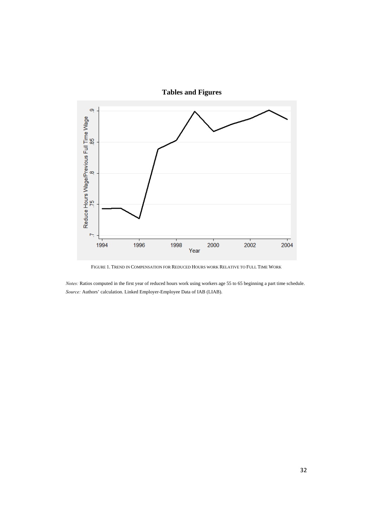

**Tables and Figures** 

FIGURE 1. TREND IN COMPENSATION FOR REDUCED HOURS WORK RELATIVE TO FULL TIME WORK

*Notes:* Ratios computed in the first year of reduced hours work using workers age 55 to 65 beginning a part time schedule. *Source:* Authors' calculation. Linked Employer-Employee Data of IAB (LIAB).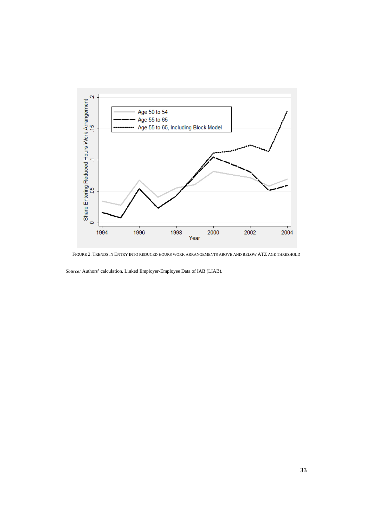

FIGURE 2. TRENDS IN ENTRY INTO REDUCED HOURS WORK ARRANGEMENTS ABOVE AND BELOW ATZ AGE THRESHOLD

*Source:* Authors' calculation. Linked Employer-Employee Data of IAB (LIAB).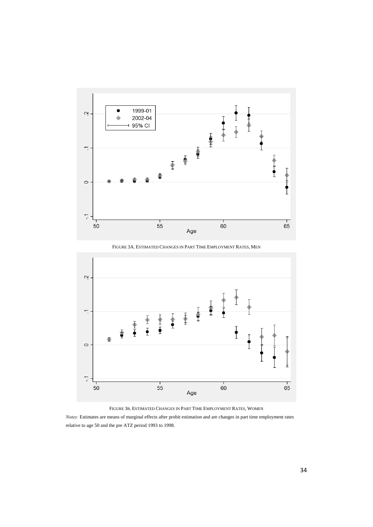

FIGURE 3A. ESTIMATED CHANGES IN PART TIME EMPLOYMENT RATES, MEN



FIGURE 3B. ESTIMATED CHANGES IN PART TIME EMPLOYMENT RATES, WOMEN

*Notes:* Estimates are means of marginal effects after probit estimation and are changes in part time employment rates relative to age 50 and the pre ATZ period 1993 to 1998.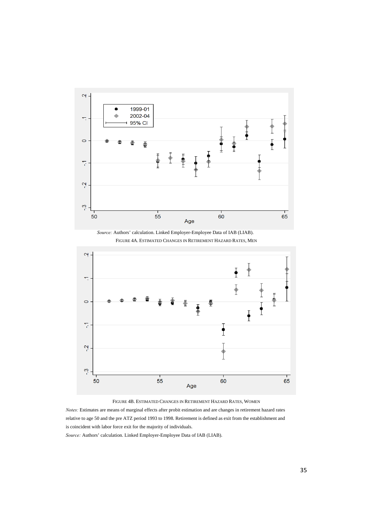

*Source:* Authors' calculation. Linked Employer-Employee Data of IAB (LIAB). FIGURE 4A. ESTIMATED CHANGES IN RETIREMENT HAZARD RATES, MEN



FIGURE 4B. ESTIMATED CHANGES IN RETIREMENT HAZARD RATES, WOMEN

*Notes:* Estimates are means of marginal effects after probit estimation and are changes in retirement hazard rates relative to age 50 and the pre ATZ period 1993 to 1998. Retirement is defined as exit from the establishment and is coincident with labor force exit for the majority of individuals.

*Source:* Authors' calculation. Linked Employer-Employee Data of IAB (LIAB).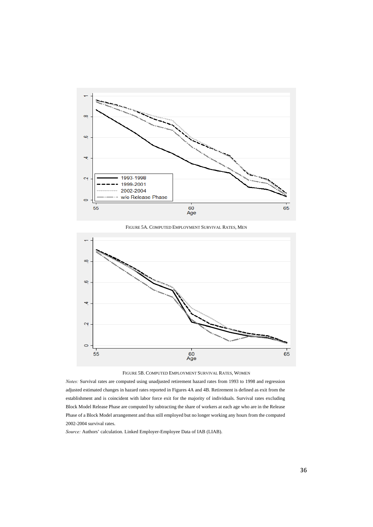

FIGURE 5A. COMPUTED EMPLOYMENT SURVIVAL RATES, MEN





*Notes:* Survival rates are computed using unadjusted retirement hazard rates from 1993 to 1998 and regression adjusted estimated changes in hazard rates reported in Figures 4A and 4B. Retirement is defined as exit from the establishment and is coincident with labor force exit for the majority of individuals. Survival rates excluding Block Model Release Phase are computed by subtracting the share of workers at each age who are in the Release Phase of a Block Model arrangement and thus still employed but no longer working any hours from the computed 2002-2004 survival rates.

*Source:* Authors' calculation. Linked Employer-Employee Data of IAB (LIAB).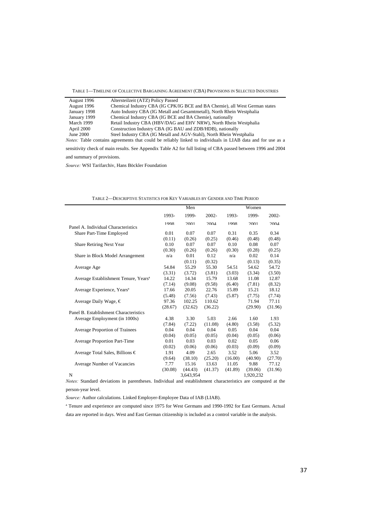TABLE 1—TIMELINE OF COLLECTIVE BARGAINING AGREEMENT (CBA) PROVISIONS IN SELECTED INDUSTRIES

| August 1996  | Altersteilzeit (ATZ) Policy Passed                                                                                 |
|--------------|--------------------------------------------------------------------------------------------------------------------|
| August 1996  | Chemical Industry CBA (IG CPK/IG BCE and BA Chemie), all West German states                                        |
| January 1998 | Auto Industry CBA (IG Metall and Gesamtmetall), North Rhein Westphalia                                             |
| January 1999 | Chemical Industry CBA (IG BCE and BA Chemie), nationally                                                           |
| March 1999   | Retail Industry CBA (HBV/DAG and EHV NRW), North Rhein Westphalia                                                  |
| April 2000   | Construction Industry CBA (IG BAU and ZDB/HDB), nationally                                                         |
| June 2000    | Steel Industry CBA (IG Metall and AGV-Stahl), North Rhein Westphalia                                               |
|              | <i>Notes:</i> Table contains agreements that could be reliably linked to individuals in LIAB data and for use as a |
|              |                                                                                                                    |

sensitivity check of main results. See Appendix Table A2 for full listing of CBA passed between 1996 and 2004 and summary of provisions.

*Source:* WSI Tarifarchiv, Hans Böckler Foundation

|                                                  |         | Men       |          |         | Women     |          |  |
|--------------------------------------------------|---------|-----------|----------|---------|-----------|----------|--|
|                                                  | 1993-   | 1999-     | $2002 -$ | 1993-   | 1999-     | $2002 -$ |  |
| Panel A. Individual Characteristics              | 1998    | 2001      | 2004     | 1998    | 2001      | 2004     |  |
| Share Part-Time Employed                         | 0.01    | 0.07      | 0.07     | 0.31    | 0.35      | 0.34     |  |
|                                                  | (0.11)  | (0.26)    |          | (0.46)  | (0.48)    |          |  |
|                                                  |         |           | (0.25)   |         |           | (0.48)   |  |
| Share Retiring Next Year                         | 0.10    | 0.07      | 0.07     | 0.10    | 0.08      | 0.07     |  |
|                                                  | (0.30)  | (0.26)    | (0.26)   | (0.30)  | (0.28)    | (0.25)   |  |
| Share in Block Model Arrangement                 | n/a     | 0.01      | 0.12     | n/a     | 0.02      | 0.14     |  |
|                                                  |         | (0.11)    | (0.32)   |         | (0.13)    | (0.35)   |  |
| Average Age                                      | 54.84   | 55.29     | 55.30    | 54.51   | 54.62     | 54.72    |  |
|                                                  | (3.31)  | (3.72)    | (3.81)   | (3.03)  | (3.34)    | (3.50)   |  |
| Average Establishment Tenure, Years <sup>a</sup> | 14.22   | 14.34     | 15.79    | 13.68   | 11.08     | 12.87    |  |
|                                                  | (7.14)  | (9.08)    | (9.58)   | (6.40)  | (7.81)    | (8.32)   |  |
| Average Experience, Years <sup>a</sup>           | 17.66   | 20.05     | 22.76    | 15.89   | 15.21     | 18.12    |  |
|                                                  | (5.48)  | (7.56)    | (7.43)   | (5.87)  | (7.75)    | (7.74)   |  |
| Average Daily Wage, $\in$                        | 97.36   | 102.25    | 110.62   |         | 71.94     | 77.11    |  |
|                                                  | (28.67) | (32.62)   | (36.22)  |         | (29.90)   | (31.96)  |  |
| Panel B. Establishment Characteristics           |         |           |          |         |           |          |  |
| Average Employment (in 1000s)                    | 4.38    | 3.30      | 5.03     | 2.66    | 1.60      | 1.93     |  |
|                                                  | (7.84)  | (7.22)    | (11.08)  | (4.80)  | (3.58)    | (5.32)   |  |
| <b>Average Proportion of Trainees</b>            | 0.04    | 0.04      | 0.04     | 0.05    | 0.04      | 0.04     |  |
|                                                  | (0.04)  | (0.05)    | (0.05)   | (0.04)  | (0.05)    | (0.06)   |  |
| Average Proportion Part-Time                     | 0.01    | 0.03      | 0.03     | 0.02    | 0.05      | 0.06     |  |
|                                                  | (0.02)  | (0.06)    | (0.06)   | (0.03)  | (0.09)    | (0.09)   |  |
| Average Total Sales, Billions €                  | 1.91    | 4.09      | 2.65     | 3.52    | 5.06      | 3.52     |  |
|                                                  | (9.64)  | (38.10)   | (25.20)  | (16.00) | (40.90)   | (27.70)  |  |
| Average Number of Vacancies                      | 7.77    | 15.16     | 13.63    | 11.05   | 9.88      | 77.12    |  |
|                                                  | (30.08) | (44.43)   | (41.37)  | (41.89) | (39.06)   | (31.96)  |  |
| N                                                |         | 3.643.954 |          |         | 1.920.232 |          |  |

TABLE 2—DESCRIPTIVE STATISTICS FOR KEY VARIABLES BY GENDER AND TIME PERIOD

*Notes:* Standard deviations in parentheses. Individual and establishment characteristics are computed at the person-year level.

*Source:* Author calculations. Linked Employer-Employee Data of IAB (LIAB).

a Tenure and experience are computed since 1975 for West Germans and 1990-1992 for East Germans. Actual data are reported in days. West and East German citizenship is included as a control variable in the analysis.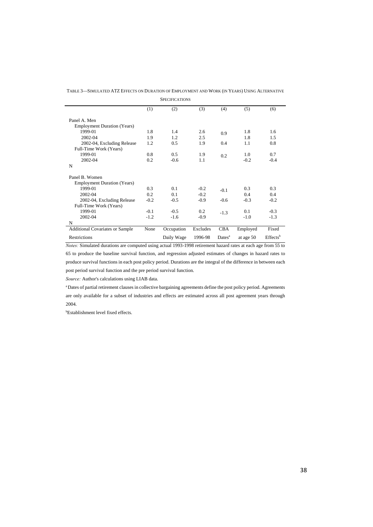| <b>SPECIFICATIONS</b>                  |        |            |          |                    |           |                         |
|----------------------------------------|--------|------------|----------|--------------------|-----------|-------------------------|
|                                        | (1)    | (2)        | (3)      | (4)                | (5)       | (6)                     |
| Panel A. Men                           |        |            |          |                    |           |                         |
| <b>Employment Duration (Years)</b>     |        |            |          |                    |           |                         |
| 1999-01                                | 1.8    | 1.4        | 2.6      | 0.9                | 1.8       | 1.6                     |
| 2002-04                                | 1.9    | 1.2        | 2.5      |                    | 1.8       | 1.5                     |
| 2002-04, Excluding Release             | 1.2    | 0.5        | 1.9      | 0.4                | 1.1       | 0.8                     |
| Full-Time Work (Years)                 |        |            |          |                    |           |                         |
| 1999-01                                | 0.8    | 0.5        | 1.9      | 0.2                | 1.0       | 0.7                     |
| 2002-04                                | 0.2    | $-0.6$     | 1.1      |                    | $-0.2$    | $-0.4$                  |
| N                                      |        |            |          |                    |           |                         |
| Panel B. Women                         |        |            |          |                    |           |                         |
| <b>Employment Duration (Years)</b>     |        |            |          |                    |           |                         |
| 1999-01                                | 0.3    | 0.1        | $-0.2$   | $-0.1$             | 0.3       | 0.3                     |
| 2002-04                                | 0.2    | 0.1        | $-0.2$   |                    | 0.4       | 0.4                     |
| 2002-04, Excluding Release             | $-0.2$ | $-0.5$     | $-0.9$   | $-0.6$             | $-0.3$    | $-0.2$                  |
| Full-Time Work (Years)                 |        |            |          |                    |           |                         |
| 1999-01                                | $-0.1$ | $-0.5$     | 0.2      | $-1.3$             | 0.1       | $-0.3$                  |
| 2002-04                                | $-1.2$ | $-1.6$     | $-0.9$   |                    | $-1.0$    | $-1.3$                  |
| N                                      |        |            |          |                    |           |                         |
| <b>Additional Covariates or Sample</b> | None   | Occupation | Excludes | <b>CBA</b>         | Employed  | Fixed                   |
| Restrictions                           |        | Daily Wage | 1996-98  | Dates <sup>a</sup> | at age 50 | $E$ ffects <sup>b</sup> |

TABLE 3—SIMULATED ATZ EFFECTS ON DURATION OF EMPLOYMENT AND WORK (IN YEARS) USING ALTERNATIVE

*Notes:* Simulated durations are computed using actual 1993-1998 retirement hazard rates at each age from 55 to 65 to produce the baseline survival function, and regression adjusted estimates of changes in hazard rates to produce survival functions in each post policy period. Durations are the integral of the difference in between each post period survival function and the pre period survival function.

*Source:* Author's calculations using LIAB data.

a Dates of partial retirement clauses in collective bargaining agreements define the post policy period. Agreements are only available for a subset of industries and effects are estimated across all post agreement years through 2004.

b Establishment level fixed effects.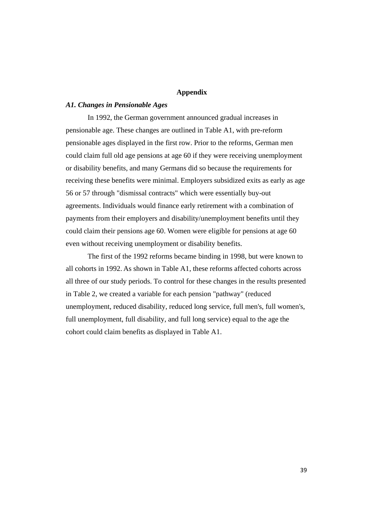#### **Appendix**

#### *A1. Changes in Pensionable Ages*

In 1992, the German government announced gradual increases in pensionable age. These changes are outlined in Table A1, with pre-reform pensionable ages displayed in the first row. Prior to the reforms, German men could claim full old age pensions at age 60 if they were receiving unemployment or disability benefits, and many Germans did so because the requirements for receiving these benefits were minimal. Employers subsidized exits as early as age 56 or 57 through "dismissal contracts" which were essentially buy-out agreements. Individuals would finance early retirement with a combination of payments from their employers and disability/unemployment benefits until they could claim their pensions age 60. Women were eligible for pensions at age 60 even without receiving unemployment or disability benefits.

The first of the 1992 reforms became binding in 1998, but were known to all cohorts in 1992. As shown in Table A1, these reforms affected cohorts across all three of our study periods. To control for these changes in the results presented in Table 2, we created a variable for each pension "pathway" (reduced unemployment, reduced disability, reduced long service, full men's, full women's, full unemployment, full disability, and full long service) equal to the age the cohort could claim benefits as displayed in Table A1.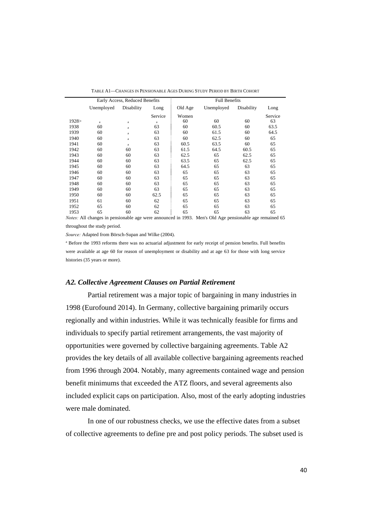|        | Early Access, Reduced Benefits |            |         | <b>Full Benefits</b> |            |            |         |
|--------|--------------------------------|------------|---------|----------------------|------------|------------|---------|
|        | Unemployed                     | Disability | Long    | Old Age              | Unemployed | Disability | Long    |
|        |                                |            | Service | Women                |            |            | Service |
| 1928 > | $\rm{a}$                       | $\rm{a}$   | a       | 60                   | 60         | 60         | 63      |
| 1938   | 60                             | a          | 63      | 60                   | 60.5       | 60         | 63.5    |
| 1939   | 60                             | a          | 63      | 60                   | 61.5       | 60         | 64.5    |
| 1940   | 60                             | a          | 63      | 60                   | 62.5       | 60         | 65      |
| 1941   | 60                             | a          | 63      | 60.5                 | 63.5       | 60         | 65      |
| 1942   | 60                             | 60         | 63      | 61.5                 | 64.5       | 60.5       | 65      |
| 1943   | 60                             | 60         | 63      | 62.5                 | 65         | 62.5       | 65      |
| 1944   | 60                             | 60         | 63      | 63.5                 | 65         | 62.5       | 65      |
| 1945   | 60                             | 60         | 63      | 64.5                 | 65         | 63         | 65      |
| 1946   | 60                             | 60         | 63      | 65                   | 65         | 63         | 65      |
| 1947   | 60                             | 60         | 63      | 65                   | 65         | 63         | 65      |
| 1948   | 60                             | 60         | 63      | 65                   | 65         | 63         | 65      |
| 1949   | 60                             | 60         | 63      | 65                   | 65         | 63         | 65      |
| 1950   | 60                             | 60         | 62.5    | 65                   | 65         | 63         | 65      |
| 1951   | 61                             | 60         | 62      | 65                   | 65         | 63         | 65      |
| 1952   | 65                             | 60         | 62      | 65                   | 65         | 63         | 65      |
| 1953   | 65                             | 60         | 62      | 65                   | 65         | 63         | 65      |
|        |                                |            |         |                      |            |            |         |

TABLE A1—CHANGES IN PENSIONABLE AGES DURING STUDY PERIOD BY BIRTH COHORT

*Notes:* All changes in pensionable age were announced in 1993. Men's Old Age pensionable age remained 65 throughout the study period.

*Source:* Adapted from Börsch-Supan and Wilke (2004).

<sup>a</sup> Before the 1993 reforms there was no actuarial adjustment for early receipt of pension benefits. Full benefits were available at age 60 for reason of unemployment or disability and at age 63 for those with long service histories (35 years or more).

#### *A2. Collective Agreement Clauses on Partial Retirement*

Partial retirement was a major topic of bargaining in many industries in 1998 (Eurofound 2014). In Germany, collective bargaining primarily occurs regionally and within industries. While it was technically feasible for firms and individuals to specify partial retirement arrangements, the vast majority of opportunities were governed by collective bargaining agreements. Table A2 provides the key details of all available collective bargaining agreements reached from 1996 through 2004. Notably, many agreements contained wage and pension benefit minimums that exceeded the ATZ floors, and several agreements also included explicit caps on participation. Also, most of the early adopting industries were male dominated.

In one of our robustness checks, we use the effective dates from a subset of collective agreements to define pre and post policy periods. The subset used is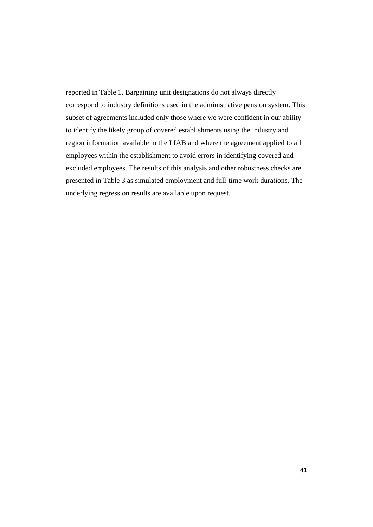reported in Table 1. Bargaining unit designations do not always directly correspond to industry definitions used in the administrative pension system. This subset of agreements included only those where we were confident in our ability to identify the likely group of covered establishments using the industry and region information available in the LIAB and where the agreement applied to all employees within the establishment to avoid errors in identifying covered and excluded employees. The results of this analysis and other robustness checks are presented in Table 3 as simulated employment and full-time work durations. The underlying regression results are available upon request.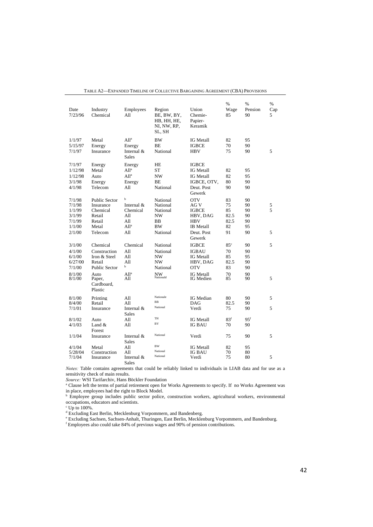| Date<br>7/23/96                                                     | Industry<br>Chemical                                                                                       | Employees<br>All                                                               | Region<br>BE, BW, BY,<br>HB, HH, HE,<br>NI, NW, RP,<br>SL, SH                       | Union<br>Chemie-<br>Papier-<br>Keramik                                                                      | %<br>Wage<br>85                                    | %<br>Pension<br>90                     | $\%$<br>Cap<br>5 |
|---------------------------------------------------------------------|------------------------------------------------------------------------------------------------------------|--------------------------------------------------------------------------------|-------------------------------------------------------------------------------------|-------------------------------------------------------------------------------------------------------------|----------------------------------------------------|----------------------------------------|------------------|
| 1/1/97<br>5/15/97<br>7/1/97                                         | Metal<br>Energy<br>Insurance                                                                               | All <sup>a</sup><br>Energy<br>Internal &<br>Sales                              | <b>BW</b><br><b>BE</b><br>National                                                  | <b>IG</b> Metall<br><b>IGBCE</b><br><b>HBV</b>                                                              | 82<br>70<br>75                                     | 95<br>90<br>90                         | 5                |
| 7/1/97<br>1/12/98<br>1/12/98<br>3/1/98<br>4/1/98                    | Energy<br>Metal<br>Auto<br>Energy<br>Telecom                                                               | Energy<br>All <sup>a</sup><br>All <sup>a</sup><br>Energy<br>All                | HE<br>ST<br><b>NW</b><br>BΕ<br>National                                             | <b>IGBCE</b><br><b>IG</b> Metall<br><b>IG Metall</b><br>IGBCE, OTV,<br>Deut. Post<br>Gewerk                 | 82<br>82<br>80<br>90                               | 95<br>95<br>90<br>90                   |                  |
| 7/1/98<br>7/1/98<br>1/1/99<br>3/1/99<br>7/1/99<br>1/1/00<br>2/1/00  | <b>Public Sector</b><br>Insurance<br>Chemical<br>Retail<br>Retail<br>Metal<br>Telecom                      | $\mathbf b$<br>Internal &<br>Chemical<br>All<br>All<br>All <sup>a</sup><br>All | National<br>National<br>National<br><b>NW</b><br><b>BB</b><br><b>BW</b><br>National | <b>OTV</b><br>AG V<br><b>IGBCE</b><br>HBV, DAG<br><b>HBV</b><br><b>IB</b> Metall<br>Deut. Post<br>Gewerk    | 83<br>75<br>85<br>82.5<br>82.5<br>82<br>91         | 90<br>90<br>90<br>90<br>90<br>95<br>90 | 5<br>5<br>5      |
| 3/1/00<br>4/1/00<br>6/1/00<br>6/27/00<br>7/1/00<br>8/1/00<br>8/1/00 | Chemical<br>Construction<br>Iron & Steel<br>Retail<br><b>Public Sector</b><br>Auto<br>Paper,<br>Cardboard, | Chemical<br>All<br>All<br>All<br>b<br>All <sup>a</sup><br>All                  | National<br>National<br><b>NW</b><br><b>NW</b><br>National<br>NW<br>Nationald       | <b>IGBCE</b><br><b>IGBAU</b><br><b>IG</b> Metall<br>HBV, DAG<br><b>OTV</b><br><b>IG</b> Metall<br>IG Medien | $85^{\circ}$<br>70<br>85<br>82.5<br>83<br>70<br>85 | 90<br>90<br>95<br>90<br>90<br>90<br>90 | 5<br>5           |
| 8/1/00<br>8/4/00<br>7/1/01                                          | Plastic<br>Printing<br>Retail<br>Insurance                                                                 | All<br>All<br>Internal &<br>Sales                                              | Nationale<br><b>BB</b><br>National                                                  | IG Median<br>DAG<br>Verdi                                                                                   | 80<br>82.5<br>75                                   | 90<br>90<br>90                         | 5<br>5           |
| 8/1/02<br>4/1/03                                                    | Auto<br>Land &<br>Forest                                                                                   | All<br>All                                                                     | TH<br>BY                                                                            | <b>IG</b> Metall<br><b>IG BAU</b>                                                                           | 83 <sup>f</sup><br>70                              | $95^{\rm f}$<br>90                     |                  |
| 1/1/04<br>4/1/04<br>5/28/04<br>7/1/04                               | Insurance<br>Metal<br>Construction<br>Insurance                                                            | Internal &<br><b>Sales</b><br>All<br>All<br>Internal &<br>Sales                | National<br><b>BW</b><br>National<br>National                                       | Verdi<br><b>IG Metall</b><br><b>IG BAU</b><br>Verdi                                                         | 75<br>82<br>70<br>75                               | 90<br>95<br>80<br>80                   | 5<br>5           |

TABLE A2—EXPANDED TIMELINE OF COLLECTIVE BARGAINING AGREEMENT (CBA) PROVISIONS

*Notes:* Table contains agreements that could be reliably linked to individuals in LIAB data and for use as a sensitivity check of main results.

Source: WSI Tarifarchiv, Hans Böckler Foundation<br><sup>a</sup> Clause left the terms of partial retirement open for Works Agreements to specify. If no Works Agreement was

in place, employees had the right to Block Model.<br>
<sup>b</sup> Employee group includes public sector police, construction workers, agricultural workers, environmental occupations, educators and scientists.

<sup>c</sup> Up to 100%.<br><sup>d</sup> Excluding East Berlin, Mecklenburg Vorpommern, and Bandenberg.<br><sup>e</sup> Excluding Sachsen, Sachsen-Anhalt, Thuringen, East Berlin, Mecklenburg Vorpommern, and Bandenburg.<br><sup>f</sup> Employees also could take 84% of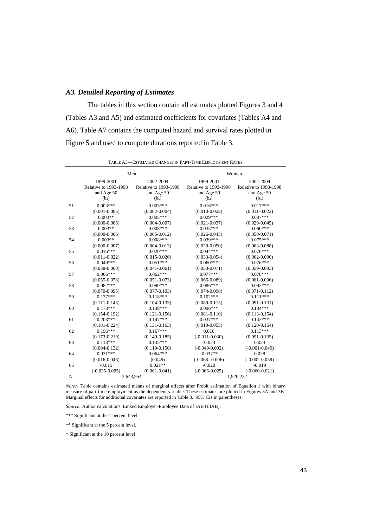#### *A3. Detailed Reporting of Estimates*

The tables in this section contain all estimates plotted Figures 3 and 4 (Tables A3 and A5) and estimated coefficients for covariates (Tables A4 and A6). Table A7 contains the computed hazard and survival rates plotted in Figure 5 and used to compute durations reported in Table 3.

|    |                       | Men                   | Women                 |                       |  |
|----|-----------------------|-----------------------|-----------------------|-----------------------|--|
|    | 1999-2001             | 2002-2004             | 1999-2001             | 2002-2004             |  |
|    | Relative to 1993-1998 | Relative to 1993-1998 | Relative to 1993-1998 | Relative to 1993-1998 |  |
|    | and Age 50            | and Age 50            | and Age 50            | and Age 50            |  |
|    | (b <sub>4</sub> )     | (b <sub>5</sub> )     | (b <sub>4</sub> )     | (b <sub>5</sub> )     |  |
| 51 | $0.003***$            | $0.003***$            | $0.016***$            | $0.017***$            |  |
|    | $(0.001 - 0.005)$     | $(0.002 - 0.004)$     | $(0.010 - 0.022)$     | $(0.011 - 0.022)$     |  |
| 52 | $0.003**$             | $0.005***$            | $0.029***$            | $0.037***$            |  |
|    | $(0.000 - 0.006)$     | $(0.004 - 0.007)$     | $(0.021 - 0.037)$     | $(0.029 - 0.045)$     |  |
| 53 | $0.003**$             | $0.008***$            | $0.035***$            | $0.060***$            |  |
|    | $(0.000 - 0.006)$     | $(0.005 - 0.012)$     | $(0.026 - 0.045)$     | $(0.050 - 0.071)$     |  |
| 54 | $0.003**$             | $0.008***$            | $0.039***$            | $0.075***$            |  |
|    | $(0.000 - 0.007)$     | $(0.004 - 0.013)$     | $(0.029 - 0.050)$     | $(0.063 - 0.088)$     |  |
| 55 | $0.016***$            | $0.020***$            | $0.044***$            | $0.076***$            |  |
|    | $(0.011 - 0.022)$     | $(0.015 - 0.026)$     | $(0.033 - 0.054)$     | $(0.062 - 0.090)$     |  |
| 56 | $0.049***$            | $0.051***$            | $0.060***$            | $0.076***$            |  |
|    | $(0.038 - 0.060)$     | $(0.041 - 0.061)$     | $(0.050 - 0.071)$     | $(0.059 - 0.093)$     |  |
| 57 | $0.066***$            | $0.062***$            | $0.077***$            | $0.078***$            |  |
|    | $(0.055 - 0.078)$     | $(0.051 - 0.073)$     | $(0.066 - 0.089)$     | $(0.061 - 0.096)$     |  |
| 58 | $0.082***$            | $0.090***$            | $0.086***$            | $0.092***$            |  |
|    | $(0.070 - 0.095)$     | $(0.077 - 0.103)$     | $(0.074 - 0.098)$     | $(0.071 - 0.112)$     |  |
| 59 | $0.127***$            | $0.118***$            | $0.102***$            | $0.111***$            |  |
|    | $(0.111 - 0.143)$     | $(0.104 - 0.133)$     | $(0.089 - 0.115)$     | $(0.091 - 0.131)$     |  |
| 60 | $0.173***$            | $0.138***$            | $0.096***$            | $0.134***$            |  |
|    | $(0.154 - 0.192)$     | $(0.121 - 0.156)$     | $(0.081 - 0.110)$     | $(0.113 - 0.154)$     |  |
| 61 | $0.203***$            | $0.147***$            | $0.037***$            | $0.142***$            |  |
|    | $(0.181 - 0.224)$     | $(0.131 - 0.163)$     | $(0.019 - 0.055)$     | $(0.120 - 0.164)$     |  |
| 62 | $0.196***$            | $0.167***$            | 0.010                 | $0.113***$            |  |
|    | $(0.173 - 0.219)$     | $(0.149 - 0.185)$     | $(-0.011 - 0.030)$    | $(0.091 - 0.135)$     |  |
| 63 | $0.113***$            | $0.135***$            | $-0.024$              | 0.024                 |  |
|    | $(0.094 - 0.132)$     | $(0.119 - 0.150)$     | $(-0.049 - 0.002)$    | $(-0.001 - 0.049)$    |  |
| 64 | $0.031***$            | $0.064***$            | $-0.037**$            | 0.028                 |  |
|    | $(0.016 - 0.046)$     | (0.049)               | $(-0.068 - 0.006)$    | $(-0.002 - 0.059)$    |  |
| 65 | $-0.015$              | $0.021**$             | $-0.020$              | $-0.019$              |  |
|    | $(-0.035 - 0.005)$    | $(0.001 - 0.041)$     | $(-0.066 - 0.025)$    | $(-0.060 - 0.021)$    |  |
| N  |                       | 3,643,954             |                       | 1,920,232             |  |

TABLE A3—ESTIMATED CHANGES IN PART-TIME EMPLOYMENT RATES

*Notes:* Table contains estimated means of marginal effects after Probit estimation of Equation 1 with binary measure of part-time employment as the dependent variable. These estimates are plotted in Figures 3A and 3B. Marginal effects for additional covariates are reported in Table 3. 95% CIs in parentheses.

*Source:* Author calculations. Linked Employer-Employee Data of IAB (LIAB).

\*\*\* Significant at the 1 percent level.

\*\* Significant at the 5 percent level.

\* Significant at the 10 percent level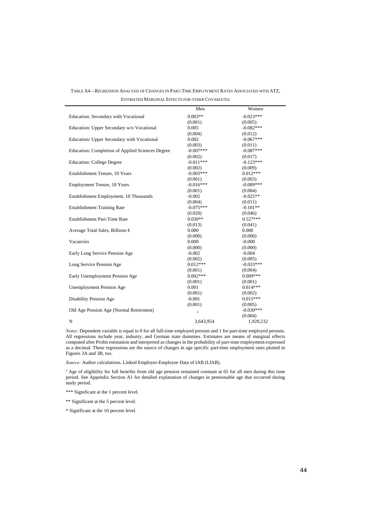TABLE A4—REGRESSION ANALYSIS OF CHANGES IN PART-TIME EMPLOYMENT RATES ASSOCIATED WITH ATZ, ESTIMATED MARGINAL EFFECTS FOR OTHER COVARIATES

|                                                  | Men         | Women       |
|--------------------------------------------------|-------------|-------------|
| Education: Secondary with Vocational             | $0.003**$   | $-0.023***$ |
|                                                  | (0.001)     | (0.005)     |
| Education: Upper Secondary w/o Vocational        | 0.005       | $-0.082***$ |
|                                                  | (0.004)     | (0.012)     |
| Education: Upper Secondary with Vocational       | 0.002       | $-0.067***$ |
|                                                  | (0.003)     | (0.011)     |
| Education: Completion of Applied Sciences Degree | $-0.007***$ | $-0.087***$ |
|                                                  | (0.002)     | (0.017)     |
| <b>Education: College Degree</b>                 | $-0.011***$ | $-0.123***$ |
|                                                  | (0.002)     | (0.009)     |
| Establishment Tenure, 10 Years                   | $-0.003***$ | $0.012***$  |
|                                                  | (0.001)     | (0.003)     |
| <b>Employment Tenure, 10 Years</b>               | $-0.016***$ | $-0.089***$ |
|                                                  | (0.001)     | (0.004)     |
| Establishment Employment, 10 Thousands           | $-0.002$    | $-0.025**$  |
|                                                  | (0.004)     | (0.011)     |
| <b>Establishment Training Rate</b>               | $-0.075***$ | $-0.101**$  |
|                                                  | (0.020)     | (0.046)     |
| Establishment Part-Time Rate                     | $0.030**$   | $0.527***$  |
|                                                  | (0.013)     | (0.041)     |
| Average Total Sales, Billions €                  | 0.000       | 0.000       |
|                                                  | (0.000)     | (0.000)     |
| Vacancies                                        | 0.000       | $-0.000$    |
|                                                  | (0.000)     | (0.000)     |
| Early Long Service Pension Age                   | $-0.002$    | $-0.004$    |
|                                                  | (0.002)     | (0.005)     |
| Long Service Pension Age                         | $0.012***$  | $-0.033***$ |
|                                                  | (0.001)     | (0.004)     |
| Early Unemployment Pension Age                   | $0.002***$  | $0.009***$  |
|                                                  | (0.001)     | (0.001)     |
| Unemployment Pension Age                         | 0.001       | $0.014***$  |
|                                                  | (0.001)     | (0.002)     |
| Disability Pension Age                           | $-0.001$    | $0.015***$  |
|                                                  | (0.001)     | (0.005)     |
| Old Age Pension Age (Normal Retirement)          | $\rm{a}$    | $-0.030***$ |
|                                                  |             | (0.004)     |
| N                                                | 3,643,954   | 1.920.232   |

*Notes:* Dependent variable is equal to 0 for all full-time employed persons and 1 for part-time employed persons. All regressions include year, industry, and German state dummies. Estimates are means of marginal effects computed after Probit estimation and interpreted as changes in the probability of part-time employment expressed as a decimal. These regressions are the source of changes in age specific part-time employment rates plotted in Figures 3A and 3B, too.

*Source:* Author calculations. Linked Employer-Employee Data of IAB (LIAB).

<sup>a</sup> Age of eligibility for full benefits from old age pension remained constant at 65 for all men during this time period. See Appendix Section A1 for detailed explanation of changes in pensionable age that occurred during study period.

\*\*\* Significant at the 1 percent level.

 $\ddot{\phantom{a}}$ 

\*\* Significant at the 5 percent level.

\* Significant at the 10 percent level.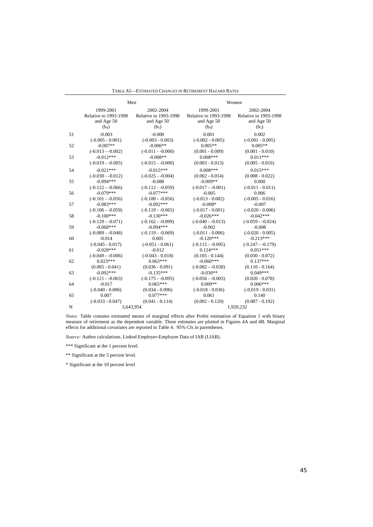| TABLE A5—ESTIMATED CHANGES IN RETIREMENT HAZARD RATES |  |  |  |
|-------------------------------------------------------|--|--|--|
|                                                       |  |  |  |

|    | Men                   |                       |                              | Women                 |
|----|-----------------------|-----------------------|------------------------------|-----------------------|
|    | 1999-2001             | 2002-2004             | 1999-2001                    | 2002-2004             |
|    | Relative to 1993-1998 | Relative to 1993-1998 | <b>Relative to 1993-1998</b> | Relative to 1993-1998 |
|    | and Age 50            | and Age 50            | and Age 50                   | and Age 50            |
|    | (b <sub>4</sub> )     | (b <sub>5</sub> )     | (b <sub>4</sub> )            | (b <sub>5</sub> )     |
| 51 | $-0.003$              | $-0.000$              | 0.001                        | 0.002                 |
|    | $(-0.005 - 0.001)$    | $(-0.003 - 0.003)$    | $(-0.002 - 0.005)$           | $(-0.001 - 0.005)$    |
| 52 | $-0.007**$            | $-0.006**$            | $0.005**$                    | $0.005**$             |
|    | $(-0.013 - 0.002)$    | $(-0.011 - -0.000)$   | $(0.001 - 0.009)$            | $(0.001 - 0.010)$     |
| 53 | $-0.012***$           | $-0.008**$            | $0.008***$                   | $0.011***$            |
|    | $(-0.019 - 0.005)$    | $(-0.015 - 0.000)$    | $(0.003 - 0.013)$            | $(0.005 - 0.016)$     |
| 54 | $-0.021***$           | $-0.015***$           | $0.008***$                   | $0.015***$            |
|    | $(-0.030 - 0.012)$    | $(-0.025 - 0.004)$    | $(0.002 - 0.014)$            | $(0.008 - 0.022)$     |
| 55 | $-0.094***$           | $-0.088$              | $-0.009**$                   | 0.000                 |
|    | $(-0.122 - 0.066)$    | $(-0.112 - 0.059)$    | $(-0.017 - 0.001)$           | $(-0.011 - 0.011)$    |
| 56 | $-0.079***$           | $-0.077***$           | $-0.005$                     | 0.006                 |
|    | $(-0.101 - 0.056)$    | $(-0.100 - 0.056)$    | $(-0.013 - 0.002)$           | $(-0.005 - 0.016)$    |
| 57 | $-0.083***$           | $-0.092***$           | $-0.008*$                    | $-0.007$              |
|    | $(-0.106 - 0.059)$    | $(-0.119 - 0.065)$    | $(-0.017 - 0.001)$           | $(-0.020 - 0.006)$    |
| 58 | $-0.100***$           | $-0.130***$           | $-0.026***$                  | $-0.042***$           |
|    | $(-0.129 - 0.071)$    | $(-0.162 - 0.099)$    | $(-0.040 - 0.013)$           | $(-0.059 - 0.024)$    |
| 59 | $-0.068***$           | $-0.094***$           | $-0.002$                     | $-0.008$              |
|    | $(-0.089 - 0.048)$    | $(-0.119 - 0.069)$    | $(-0.011 - 0.006)$           | $(-0.020 - 0.005)$    |
| 60 | $-0.014$              | 0.005                 | $-0.120***$                  | $-0.213***$           |
|    | $(-0.045 - 0.017)$    | $(-0.051 - 0.061)$    | $(-0.115 - 0.095)$           | $(-0.247 - 0.179)$    |
| 61 | $-0.028***$           | $-0.012$              | $0.124***$                   | $0.051***$            |
|    | $(-0.049 - 0.006)$    | $(-0.043 - 0.018)$    | $(0.105 - 0.144)$            | $(0.030 - 0.072)$     |
| 62 | $0.023***$            | $0.063***$            | $-0.060***$                  | $0.137***$            |
|    | $(0.005 - 0.041)$     | $(0.036 - 0.091)$     | $(-0.082 - 0.038)$           | $(0.110 - 0.164)$     |
| 63 | $-0.092***$           | $-0.135***$           | $-0.030**$                   | $0.049***$            |
|    | $(-0.121 - 0.063)$    | $(-0.175 - 0.095)$    | $(-0.056 - 0.003)$           | $(0.020 - 0.078)$     |
| 64 | $-0.017$              | $0.065***$            | $0.009**$                    | $0.006***$            |
|    | $(-0.040 - 0.006)$    | $(0.034 - 0.096)$     | $(-0.018 - 0.036)$           | $(-0.019 - 0.031)$    |
| 65 | 0.007                 | $0.077***$            | 0.061                        | 0.140                 |
|    | $(-0.033 - 0.047)$    | $(0.041 - 0.114)$     | $(0.002 - 0.120)$            | $(0.087 - 0.192)$     |
| N  | 3,643,954             |                       |                              | 1,920,232             |

*Notes:* Table contains estimated means of marginal effects after Probit estimation of Equation 1 with binary measure of retirement as the dependent variable. These estimates are plotted in Figures 4A and 4B. Marginal effects for additional covariates are reported in Table 4. 95% CIs in parentheses.

*Source:* Author calculations. Linked Employer-Employee Data of IAB (LIAB).

\*\*\* Significant at the 1 percent level.

\*\* Significant at the 5 percent level.

\* Significant at the 10 percent level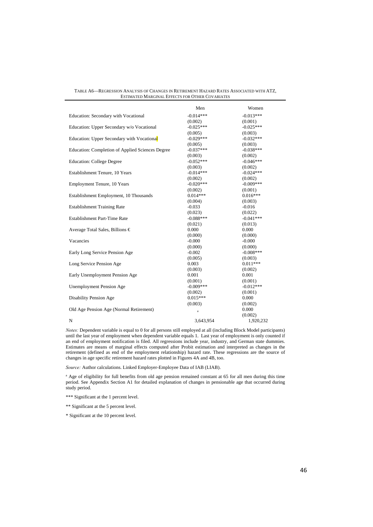| TABLE A6—REGRESSION ANALYSIS OF CHANGES IN RETIREMENT HAZARD RATES ASSOCIATED WITH ATZ. |
|-----------------------------------------------------------------------------------------|
| ESTIMATED MARGINAL EFFECTS FOR OTHER COVARIATES                                         |

|                                                  | Men         | Women       |
|--------------------------------------------------|-------------|-------------|
| Education: Secondary with Vocational             | $-0.014***$ | $-0.013***$ |
|                                                  | (0.002)     | (0.001)     |
| Education: Upper Secondary w/o Vocational        | $-0.025***$ | $-0.025***$ |
|                                                  | (0.005)     | (0.003)     |
| Education: Upper Secondary with Vocational       | $-0.029***$ | $-0.032***$ |
|                                                  | (0.005)     | (0.003)     |
| Education: Completion of Applied Sciences Degree | $-0.037***$ | $-0.038***$ |
|                                                  | (0.003)     | (0.002)     |
| <b>Education: College Degree</b>                 | $-0.052***$ | $-0.046***$ |
|                                                  | (0.003)     | (0.002)     |
| Establishment Tenure, 10 Years                   | $-0.014***$ | $-0.024***$ |
|                                                  | (0.002)     | (0.002)     |
| Employment Tenure, 10 Years                      | $-0.020***$ | $-0.009***$ |
|                                                  | (0.002)     | (0.001)     |
| Establishment Employment, 10 Thousands           | $0.014***$  | $0.016***$  |
|                                                  | (0.004)     | (0.003)     |
| <b>Establishment Training Rate</b>               | $-0.033$    | $-0.016$    |
|                                                  | (0.023)     | (0.022)     |
| <b>Establishment Part-Time Rate</b>              | $-0.088***$ | $-0.041***$ |
|                                                  | (0.021)     | (0.013)     |
| Average Total Sales, Billions €                  | 0.000       | 0.000       |
|                                                  | (0.000)     | (0.000)     |
| Vacancies                                        | $-0.000$    | $-0.000$    |
|                                                  | (0.000)     | (0.000)     |
| Early Long Service Pension Age                   | $-0.002$    | $-0.008***$ |
|                                                  | (0.005)     | (0.003)     |
| Long Service Pension Age                         | 0.003       | $0.011***$  |
|                                                  | (0.003)     | (0.002)     |
| Early Unemployment Pension Age                   | 0.001       | 0.001       |
|                                                  | (0.001)     | (0.001)     |
| <b>Unemployment Pension Age</b>                  | $-0.009***$ | $-0.012***$ |
|                                                  | (0.002)     | (0.001)     |
| Disability Pension Age                           | $0.015***$  | 0.000       |
|                                                  | (0.003)     | (0.002)     |
| Old Age Pension Age (Normal Retirement)          | a           | 0.000       |
|                                                  |             | (0.002)     |
| N                                                | 3,643,954   | 1,920,232   |

*Notes:* Dependent variable is equal to 0 for all persons still employed at all (including Block Model participants) until the last year of employment when dependent variable equals 1. Last year of employment is only counted if an end of employment notification is filed. All regressions include year, industry, and German state dummies. Estimates are means of marginal effects computed after Probit estimation and interpreted as changes in the retirement (defined as end of the employment relationship) hazard rate. These regressions are the source of changes in age specific retirement hazard rates plotted in Figures 4A and 4B, too.

*Source:* Author calculations. Linked Employer-Employee Data of IAB (LIAB).

<sup>a</sup> Age of eligibility for full benefits from old age pension remained constant at 65 for all men during this time period. See Appendix Section A1 for detailed explanation of changes in pensionable age that occurred during study period.

\*\*\* Significant at the 1 percent level.

\*\* Significant at the 5 percent level.

\* Significant at the 10 percent level.